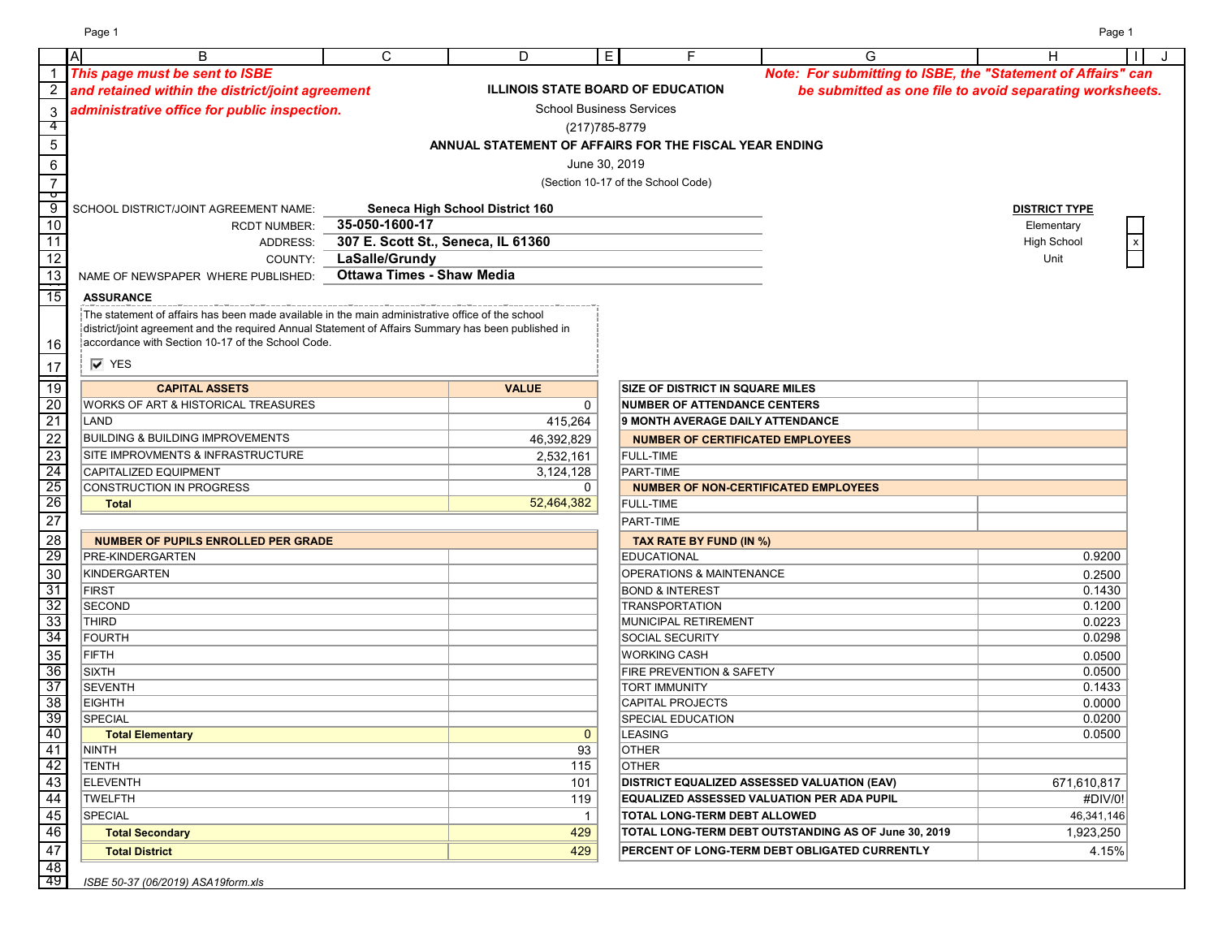Page 1 Page 1

|                     | $\mathsf{A}$<br>B                                                                                   | C                                  | D                                                      | E.                                       | G                                                            | н                                                        |
|---------------------|-----------------------------------------------------------------------------------------------------|------------------------------------|--------------------------------------------------------|------------------------------------------|--------------------------------------------------------------|----------------------------------------------------------|
|                     | This page must be sent to ISBE                                                                      |                                    |                                                        |                                          | Note: For submitting to ISBE, the "Statement of Affairs" can |                                                          |
|                     | and retained within the district/joint agreement                                                    |                                    |                                                        | <b>ILLINOIS STATE BOARD OF EDUCATION</b> |                                                              | be submitted as one file to avoid separating worksheets. |
| $\mathbf{3}$        | administrative office for public inspection.                                                        |                                    |                                                        | <b>School Business Services</b>          |                                                              |                                                          |
| 4                   |                                                                                                     |                                    |                                                        | (217) 785-8779                           |                                                              |                                                          |
| 5                   |                                                                                                     |                                    |                                                        |                                          |                                                              |                                                          |
|                     |                                                                                                     |                                    | ANNUAL STATEMENT OF AFFAIRS FOR THE FISCAL YEAR ENDING |                                          |                                                              |                                                          |
| $\,6\,$             |                                                                                                     |                                    |                                                        | June 30, 2019                            |                                                              |                                                          |
| $\overline{7}$      |                                                                                                     |                                    |                                                        | (Section 10-17 of the School Code)       |                                                              |                                                          |
| ᡉ<br>$\overline{9}$ | SCHOOL DISTRICT/JOINT AGREEMENT NAME:                                                               |                                    | Seneca High School District 160                        |                                          |                                                              | <b>DISTRICT TYPE</b>                                     |
| 10                  | <b>RCDT NUMBER:</b>                                                                                 | 35-050-1600-17                     |                                                        |                                          |                                                              | Elementary                                               |
| 11                  | ADDRESS:                                                                                            | 307 E. Scott St., Seneca, IL 61360 |                                                        |                                          |                                                              | <b>High School</b>                                       |
| $\overline{12}$     |                                                                                                     | LaSalle/Grundy                     |                                                        |                                          |                                                              |                                                          |
|                     | COUNTY:                                                                                             |                                    |                                                        |                                          |                                                              | Unit                                                     |
| $\overline{13}$     | NAME OF NEWSPAPER WHERE PUBLISHED:                                                                  | <b>Ottawa Times - Shaw Media</b>   |                                                        |                                          |                                                              |                                                          |
| 15                  | <b>ASSURANCE</b>                                                                                    |                                    |                                                        |                                          |                                                              |                                                          |
|                     | The statement of affairs has been made available in the main administrative office of the school    |                                    |                                                        |                                          |                                                              |                                                          |
|                     | district/joint agreement and the required Annual Statement of Affairs Summary has been published in |                                    |                                                        |                                          |                                                              |                                                          |
| 16                  | accordance with Section 10-17 of the School Code.                                                   |                                    |                                                        |                                          |                                                              |                                                          |
| 17                  | $\overline{V}$ YES                                                                                  |                                    |                                                        |                                          |                                                              |                                                          |
| $\frac{1}{19}$      | <b>CAPITAL ASSETS</b>                                                                               |                                    | <b>VALUE</b>                                           |                                          | <b>SIZE OF DISTRICT IN SQUARE MILES</b>                      |                                                          |
| 20                  | <b>WORKS OF ART &amp; HISTORICAL TREASURES</b>                                                      |                                    |                                                        |                                          | <b>NUMBER OF ATTENDANCE CENTERS</b>                          |                                                          |
| $\overline{21}$     | LAND                                                                                                |                                    |                                                        | $\mathbf{0}$                             | <b>9 MONTH AVERAGE DAILY ATTENDANCE</b>                      |                                                          |
|                     |                                                                                                     |                                    | 415,264                                                |                                          |                                                              |                                                          |
| $\overline{22}$     | <b>BUILDING &amp; BUILDING IMPROVEMENTS</b>                                                         |                                    | 46,392,829                                             |                                          | <b>NUMBER OF CERTIFICATED EMPLOYEES</b>                      |                                                          |
| $\overline{23}$     | SITE IMPROVMENTS & INFRASTRUCTURE                                                                   |                                    | 2,532,161                                              | FULL-TIME                                |                                                              |                                                          |
| 24                  | CAPITALIZED EQUIPMENT                                                                               |                                    | 3,124,128                                              | <b>PART-TIME</b>                         |                                                              |                                                          |
| 25                  | CONSTRUCTION IN PROGRESS                                                                            |                                    |                                                        | $\mathbf{0}$                             | <b>NUMBER OF NON-CERTIFICATED EMPLOYEES</b>                  |                                                          |
| 26                  | <b>Total</b>                                                                                        |                                    | 52,464,382                                             | <b>FULL-TIME</b>                         |                                                              |                                                          |
| $\overline{27}$     |                                                                                                     |                                    |                                                        | PART-TIME                                |                                                              |                                                          |
| 28                  | <b>NUMBER OF PUPILS ENROLLED PER GRADE</b>                                                          |                                    |                                                        |                                          | TAX RATE BY FUND (IN %)                                      |                                                          |
| 29                  | PRE-KINDERGARTEN                                                                                    |                                    |                                                        | <b>EDUCATIONAL</b>                       |                                                              | 0.9200                                                   |
| $\overline{30}$     | KINDERGARTEN                                                                                        |                                    |                                                        |                                          | OPERATIONS & MAINTENANCE                                     | 0.2500                                                   |
| $\overline{31}$     | <b>FIRST</b>                                                                                        |                                    |                                                        | <b>BOND &amp; INTEREST</b>               |                                                              | 0.1430                                                   |
| 32                  | <b>SECOND</b>                                                                                       |                                    |                                                        | <b>TRANSPORTATION</b>                    |                                                              | 0.1200                                                   |
| 33                  | <b>THIRD</b>                                                                                        |                                    |                                                        | MUNICIPAL RETIREMENT                     |                                                              | 0.0223                                                   |
| 34                  | <b>FOURTH</b>                                                                                       |                                    |                                                        | SOCIAL SECURITY                          |                                                              | 0.0298                                                   |
| 35                  | FIFTH                                                                                               |                                    |                                                        | <b>WORKING CASH</b>                      |                                                              | 0.0500                                                   |
| 36                  | <b>SIXTH</b>                                                                                        |                                    |                                                        | FIRE PREVENTION & SAFETY                 |                                                              | 0.0500                                                   |
| 37                  | <b>SEVENTH</b>                                                                                      |                                    |                                                        | <b>TORT IMMUNITY</b>                     |                                                              | 0.1433                                                   |
| 38                  | <b>EIGHTH</b>                                                                                       |                                    |                                                        | <b>CAPITAL PROJECTS</b>                  |                                                              | 0.0000                                                   |
| 39                  | <b>SPECIAL</b>                                                                                      |                                    |                                                        | <b>SPECIAL EDUCATION</b>                 |                                                              | 0.0200                                                   |
| 40                  | <b>Total Elementary</b>                                                                             |                                    | $\mathbf{0}$                                           | <b>LEASING</b>                           |                                                              | 0.0500                                                   |
| 41                  | NINTH                                                                                               |                                    | 93                                                     | <b>OTHER</b>                             |                                                              |                                                          |
| 42                  | TENTH                                                                                               |                                    | 115                                                    | <b>OTHER</b>                             |                                                              |                                                          |
| 43                  | <b>ELEVENTH</b>                                                                                     |                                    | 101                                                    |                                          | <b>DISTRICT EQUALIZED ASSESSED VALUATION (EAV)</b>           | 671,610,817                                              |
| 44                  | <b>TWELFTH</b>                                                                                      |                                    | 119                                                    |                                          | <b>EQUALIZED ASSESSED VALUATION PER ADA PUPIL</b>            | #DIV/0!                                                  |
| 45                  | SPECIAL                                                                                             |                                    | $\overline{1}$                                         |                                          | <b>TOTAL LONG-TERM DEBT ALLOWED</b>                          | 46,341,146                                               |
| 46                  | <b>Total Secondary</b>                                                                              |                                    | 429                                                    |                                          | TOTAL LONG-TERM DEBT OUTSTANDING AS OF June 30, 2019         | 1,923,250                                                |
| 47                  | <b>Total District</b>                                                                               |                                    | 429                                                    |                                          | PERCENT OF LONG-TERM DEBT OBLIGATED CURRENTLY                | 4.15%                                                    |
|                     |                                                                                                     |                                    |                                                        |                                          |                                                              |                                                          |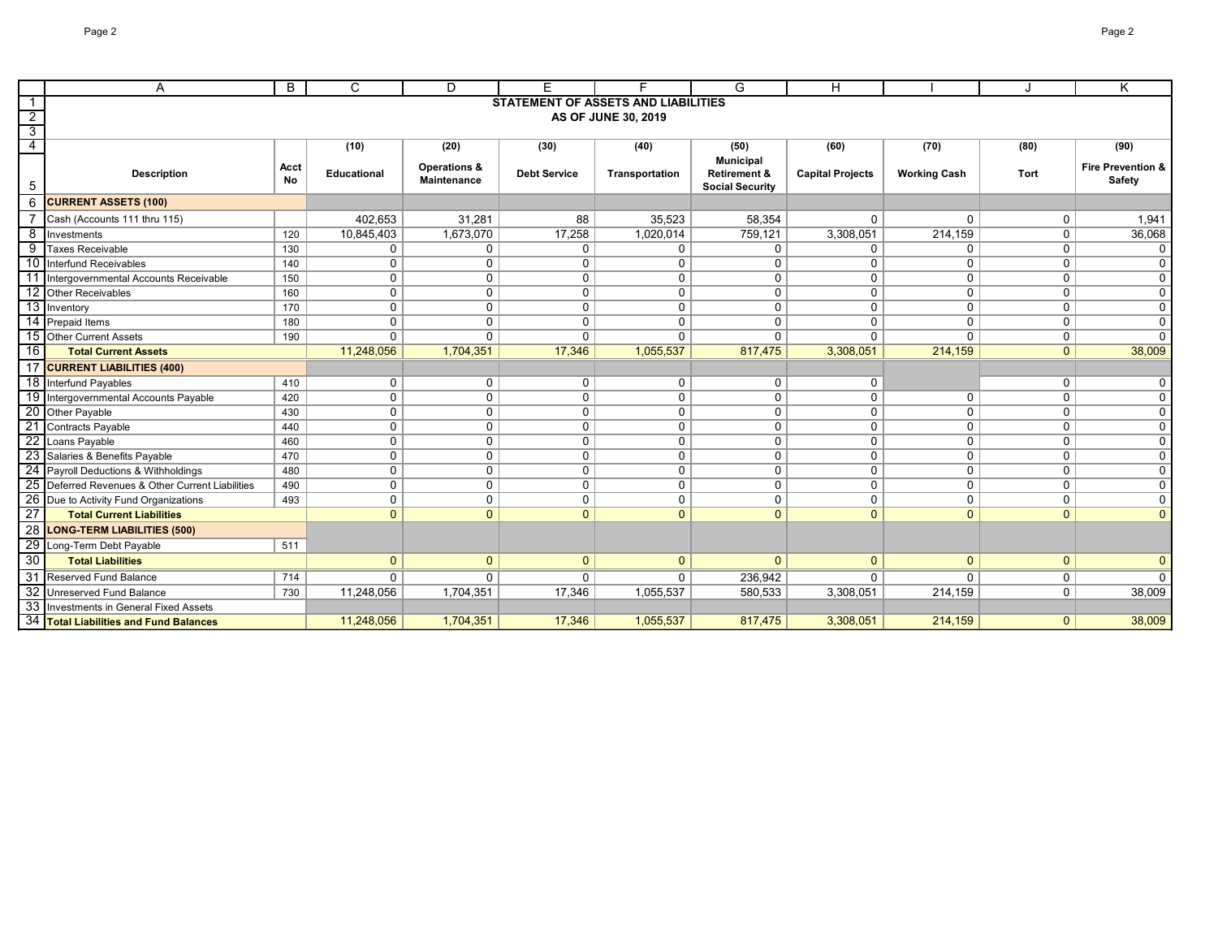|                 | A                                                | B         | C                  | D                       | F.                                         | Е                   | G                                           | $\mathsf{H}$            |                     |                | Κ                            |
|-----------------|--------------------------------------------------|-----------|--------------------|-------------------------|--------------------------------------------|---------------------|---------------------------------------------|-------------------------|---------------------|----------------|------------------------------|
|                 |                                                  |           |                    |                         | <b>STATEMENT OF ASSETS AND LIABILITIES</b> |                     |                                             |                         |                     |                |                              |
| $\overline{2}$  |                                                  |           |                    |                         |                                            | AS OF JUNE 30, 2019 |                                             |                         |                     |                |                              |
| $\overline{3}$  |                                                  |           |                    |                         |                                            |                     |                                             |                         |                     |                |                              |
| 4               |                                                  |           | (10)               | (20)                    | (30)                                       | (40)                | (50)                                        | (60)                    | (70)                | (80)           | (90)                         |
|                 | <b>Description</b>                               | Acct      | <b>Educational</b> | <b>Operations &amp;</b> | <b>Debt Service</b>                        | Transportation      | <b>Municipal</b><br><b>Retirement &amp;</b> | <b>Capital Projects</b> | <b>Working Cash</b> | Tort           | <b>Fire Prevention &amp;</b> |
| 5               |                                                  | <b>No</b> |                    | Maintenance             |                                            |                     | <b>Social Security</b>                      |                         |                     |                | <b>Safety</b>                |
| 6               | <b>CURRENT ASSETS (100)</b>                      |           |                    |                         |                                            |                     |                                             |                         |                     |                |                              |
|                 | Cash (Accounts 111 thru 115)                     |           | 402,653            | 31,281                  | 88                                         | 35,523              | 58,354                                      | 0                       | $\Omega$            | $\mathbf 0$    | 1,941                        |
| 8               | Investments                                      | 120       | 10,845,403         | 1,673,070               | 17,258                                     | 1,020,014           | 759,121                                     | 3,308,051               | 214,159             | $\mathbf 0$    | 36,068                       |
| 9               | <b>Taxes Receivable</b>                          | 130       | 0                  | $\mathbf 0$             | 0                                          | $\mathbf 0$         | $\mathbf 0$                                 | 0                       | 0                   | $\mathbf 0$    | $\Omega$                     |
| 10              | Interfund Receivables                            | 140       | $\mathbf 0$        | $\mathbf 0$             | 0                                          | $\mathbf 0$         | $\mathbf{0}$                                | 0                       | 0                   | $\mathbf 0$    | $\Omega$                     |
| 11              | Intergovernmental Accounts Receivable            | 150       | $\mathbf 0$        | $\mathbf 0$             | $\mathsf{O}$                               | $\mathbf 0$         | $\mathbf 0$                                 | 0                       | 0                   | 0              | $\Omega$                     |
| $\overline{12}$ | <b>Other Receivables</b>                         | 160       | $\mathbf 0$        | $\mathbf 0$             | $\mathsf{O}$                               | $\pmb{0}$           | $\mathbf{0}$                                | 0                       | $\mathbf 0$         | $\mathbf 0$    | $\mathbf 0$                  |
| $\overline{13}$ | Inventory                                        | 170       | $\mathbf 0$        | $\mathbf 0$             | $\mathbf 0$                                | $\mathbf 0$         | $\mathbf 0$                                 | 0                       | $\mathbf 0$         | $\mathbf 0$    | $\mathbf 0$                  |
| 14              | Prepaid Items                                    | 180       | $\mathbf 0$        | $\mathbf 0$             | $\mathbf 0$                                | $\mathbf 0$         | $\mathbf{0}$                                | 0                       | $\mathbf{0}$        | $\mathbf 0$    | $\mathbf 0$                  |
| 15              | Other Current Assets                             | 190       | $\Omega$           | $\mathbf{0}$            | $\mathbf{0}$                               | $\mathbf{0}$        | $\Omega$                                    | $\mathbf{0}$            | $\mathbf{0}$        | 0              | $\Omega$                     |
| 16              | <b>Total Current Assets</b>                      |           | 11,248,056         | 1,704,351               | 17,346                                     | 1,055,537           | 817,475                                     | 3,308,051               | 214,159             | $\overline{0}$ | 38,009                       |
| 17              | <b>CURRENT LIABILITIES (400)</b>                 |           |                    |                         |                                            |                     |                                             |                         |                     |                |                              |
|                 | 18 Interfund Payables                            | 410       | $\mathbf 0$        | $\mathbf 0$             | $\mathbf 0$                                | 0                   | $\mathbf 0$                                 | 0                       |                     | $\mathbf 0$    | 0                            |
| 19              | Intergovernmental Accounts Payable               | 420       | $\mathbf 0$        | $\mathbf 0$             | $\mathsf{O}$                               | $\mathbf 0$         | $\mathbf{0}$                                | 0                       | $\mathbf 0$         | $\mathbf 0$    | $\mathbf 0$                  |
|                 | 20 Other Payable                                 | 430       | $\mathbf 0$        | 0                       | $\mathbf 0$                                | 0                   | $\mathbf 0$                                 | 0                       | 0                   | $\mathbf 0$    | $\mathbf 0$                  |
| $\overline{21}$ | Contracts Payable                                | 440       | $\mathbf 0$        | $\mathbf 0$             | $\mathbf 0$                                | $\pmb{0}$           | $\mathbf{0}$                                | 0                       | 0                   | $\mathbf 0$    | $\mathsf 0$                  |
| $\overline{22}$ | Loans Payable                                    | 460       | $\mathbf 0$        | $\mathbf 0$             | $\mathbf 0$                                | $\mathbf 0$         | $\mathbf{0}$                                | 0                       | $\mathbf{0}$        | $\mathbf 0$    | $\mathbf 0$                  |
|                 | 23 Salaries & Benefits Payable                   | 470       | $\mathbf 0$        | $\mathbf 0$             | $\mathbf 0$                                | $\pmb{0}$           | $\mathbf 0$                                 | 0                       | $\mathbf 0$         | $\mathbf 0$    | $\mathbf 0$                  |
| $\overline{24}$ | Payroll Deductions & Withholdings                | 480       | $\mathbf 0$        | $\mathbf 0$             | $\mathbf 0$                                | $\mathbf 0$         | $\mathbf{0}$                                | $\mathbf{0}$            | $\mathbf{0}$        | $\mathbf{0}$   | $\mathbf 0$                  |
|                 | 25 Deferred Revenues & Other Current Liabilities | 490       | $\mathbf 0$        | 0                       | $\mathbf 0$                                | $\mathbf 0$         | $\mathbf 0$                                 | 0                       | $\mathbf 0$         | $\mathbf 0$    | $\mathsf 0$                  |
| 26              | Due to Activity Fund Organizations               | 493       | $\mathbf 0$        | 0                       | $\mathbf 0$                                | $\mathbf 0$         | $\Omega$                                    | 0                       | 0                   | 0              | $\mathbf 0$                  |
| $\overline{27}$ | <b>Total Current Liabilities</b>                 |           | $\overline{0}$     | $\overline{0}$          | $\mathbf{0}$                               | $\mathbf{0}$        | $\mathbf{0}$                                | $\mathbf{0}$            | $\mathbf{0}$        | $\overline{0}$ | $\mathbf{0}$                 |
| 28              | <b>LONG-TERM LIABILITIES (500)</b>               |           |                    |                         |                                            |                     |                                             |                         |                     |                |                              |
| 29              | Long-Term Debt Payable                           | 511       |                    |                         |                                            |                     |                                             |                         |                     |                |                              |
| $\overline{30}$ | <b>Total Liabilities</b>                         |           | $\mathbf{0}$       | $\overline{0}$          | $\mathbf{0}$                               | $\mathbf{0}$        | $\Omega$                                    | $\mathbf{0}$            | $\overline{0}$      | $\overline{0}$ | $\Omega$                     |
| 31              | <b>Reserved Fund Balance</b>                     | 714       | $\mathbf{0}$       | $\mathbf 0$             | 0                                          | 0                   | 236,942                                     | $\mathbf{0}$            | 0                   | $\mathbf 0$    |                              |
| 32              | Unreserved Fund Balance                          | 730       | 11,248,056         | 1,704,351               | 17,346                                     | 1,055,537           | 580,533                                     | 3,308,051               | 214,159             | 0              | 38,009                       |
| 33              | Investments in General Fixed Assets              |           |                    |                         |                                            |                     |                                             |                         |                     |                |                              |
|                 | 34 Total Liabilities and Fund Balances           |           | 11,248,056         | 1,704,351               | 17,346                                     | 1,055,537           | 817,475                                     | 3,308,051               | 214,159             | $\mathbf{0}$   | 38,009                       |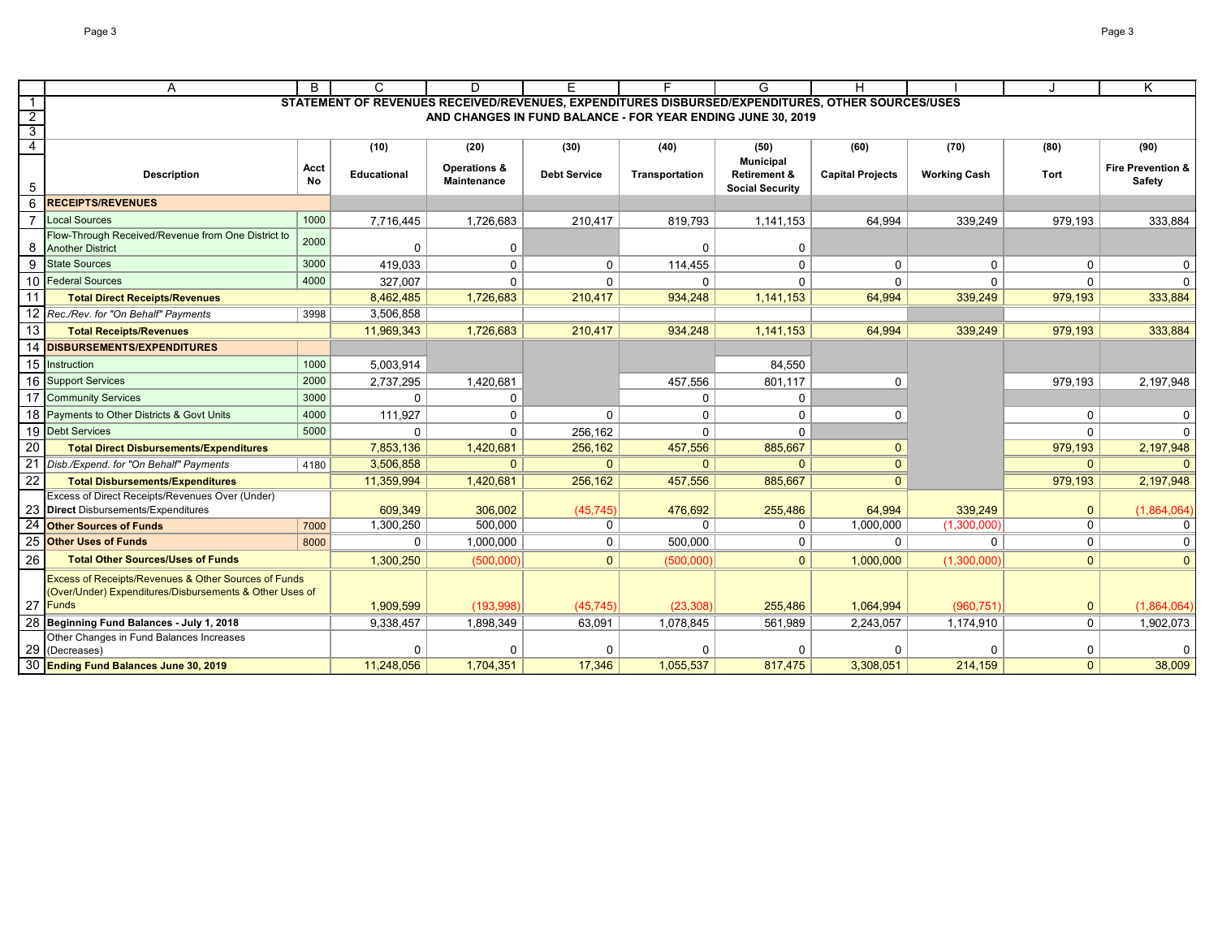|                 | A                                                                                                                          | B          | $\mathsf{C}$                                                                                     | D                                             | E.                  | F                                                           | G                        | H                       |                     |                | K                                             |
|-----------------|----------------------------------------------------------------------------------------------------------------------------|------------|--------------------------------------------------------------------------------------------------|-----------------------------------------------|---------------------|-------------------------------------------------------------|--------------------------|-------------------------|---------------------|----------------|-----------------------------------------------|
| $\overline{1}$  |                                                                                                                            |            | STATEMENT OF REVENUES RECEIVED/REVENUES, EXPENDITURES DISBURSED/EXPENDITURES, OTHER SOURCES/USES |                                               |                     |                                                             |                          |                         |                     |                |                                               |
| $\overline{2}$  |                                                                                                                            |            |                                                                                                  |                                               |                     | AND CHANGES IN FUND BALANCE - FOR YEAR ENDING JUNE 30, 2019 |                          |                         |                     |                |                                               |
| $\overline{3}$  |                                                                                                                            |            |                                                                                                  |                                               |                     |                                                             |                          |                         |                     |                |                                               |
| $\overline{4}$  |                                                                                                                            |            | (10)                                                                                             | (20)                                          | (30)                | (40)                                                        | (50)<br><b>Municipal</b> | (60)                    | (70)                | (80)           | (90)                                          |
|                 | <b>Description</b>                                                                                                         | Acct<br>No | <b>Educational</b>                                                                               | <b>Operations &amp;</b><br><b>Maintenance</b> | <b>Debt Service</b> | Transportation                                              | <b>Retirement &amp;</b>  | <b>Capital Projects</b> | <b>Working Cash</b> | Tort           | <b>Fire Prevention &amp;</b><br><b>Safety</b> |
| 5               |                                                                                                                            |            |                                                                                                  |                                               |                     |                                                             | <b>Social Security</b>   |                         |                     |                |                                               |
| 6               | <b>RECEIPTS/REVENUES</b>                                                                                                   |            |                                                                                                  |                                               |                     |                                                             |                          |                         |                     |                |                                               |
|                 | Local Sources                                                                                                              | 1000       | 7,716,445                                                                                        | 1,726,683                                     | 210,417             | 819,793                                                     | 1,141,153                | 64,994                  | 339,249             | 979,193        | 333,884                                       |
| 8               | Flow-Through Received/Revenue from One District to<br><b>Another District</b>                                              | 2000       | $\mathbf{0}$                                                                                     | 0                                             |                     | O                                                           | 0                        |                         |                     |                |                                               |
| 9               | <b>State Sources</b>                                                                                                       | 3000       | 419,033                                                                                          | $\mathbf 0$                                   | $\mathbf 0$         | 114,455                                                     | $\Omega$                 | $\mathbf{0}$            | $\mathbf{0}$        | $\mathbf{0}$   | $\mathbf 0$                                   |
|                 | 10 Federal Sources                                                                                                         | 4000       | 327,007                                                                                          | $\Omega$                                      | $\mathbf 0$         | $\Omega$                                                    | $\Omega$                 | $\Omega$                | $\Omega$            | $\Omega$       | $\Omega$                                      |
| 11              | <b>Total Direct Receipts/Revenues</b>                                                                                      |            | 8,462,485                                                                                        | 1,726,683                                     | 210,417             | 934,248                                                     | 1,141,153                | 64,994                  | 339,249             | 979,193        | 333,884                                       |
|                 | 12 Rec./Rev. for "On Behalf" Payments                                                                                      | 3998       | 3,506,858                                                                                        |                                               |                     |                                                             |                          |                         |                     |                |                                               |
| 13              | <b>Total Receipts/Revenues</b>                                                                                             |            | 11,969,343                                                                                       | 1,726,683                                     | 210,417             | 934,248                                                     | 1,141,153                | 64,994                  | 339,249             | 979,193        | 333,884                                       |
| 14              | <b>DISBURSEMENTS/EXPENDITURES</b>                                                                                          |            |                                                                                                  |                                               |                     |                                                             |                          |                         |                     |                |                                               |
|                 | 15 Instruction                                                                                                             | 1000       | 5,003,914                                                                                        |                                               |                     |                                                             | 84,550                   |                         |                     |                |                                               |
| 16              | <b>Support Services</b>                                                                                                    | 2000       | 2,737,295                                                                                        | 1,420,681                                     |                     | 457,556                                                     | 801,117                  | $\Omega$                |                     | 979,193        | 2,197,948                                     |
| 17              | <b>Community Services</b>                                                                                                  | 3000       | $\mathbf 0$                                                                                      | $\mathbf 0$                                   |                     | 0                                                           | 0                        |                         |                     |                |                                               |
|                 | 18 Payments to Other Districts & Govt Units                                                                                | 4000       | 111,927                                                                                          | 0                                             | 0                   | 0                                                           | 0                        | 0                       |                     | 0              | 0                                             |
|                 | 19 Debt Services                                                                                                           | 5000       | $\mathbf 0$                                                                                      | $\mathbf 0$                                   | 256,162             | 0                                                           | $\mathbf 0$              |                         |                     | $\mathbf{0}$   | $\Omega$                                      |
| 20              | <b>Total Direct Disbursements/Expenditures</b>                                                                             |            | 7,853,136                                                                                        | 1,420,681                                     | 256,162             | 457,556                                                     | 885,667                  | $\mathbf{0}$            |                     | 979,193        | 2,197,948                                     |
|                 | Disb./Expend. for "On Behalf" Payments                                                                                     | 4180       | 3,506,858                                                                                        | $\overline{0}$                                | $\Omega$            | $\Omega$                                                    | $\Omega$                 | $\mathbf{0}$            |                     | $\mathbf{0}$   |                                               |
| $\overline{22}$ | <b>Total Disbursements/Expenditures</b>                                                                                    |            | 11,359,994                                                                                       | 1,420,681                                     | 256,162             | 457,556                                                     | 885,667                  | $\mathbf{0}$            |                     | 979,193        | 2,197,948                                     |
|                 | <b>Excess of Direct Receipts/Revenues Over (Under)</b>                                                                     |            |                                                                                                  |                                               |                     |                                                             |                          |                         |                     |                |                                               |
|                 | Direct Disbursements/Expenditures                                                                                          |            | 609,349                                                                                          | 306,002                                       | (45, 745)           | 476,692                                                     | 255,486                  | 64,994                  | 339,249             | $\mathbf 0$    | (1,864,064)                                   |
| 24              | <b>Other Sources of Funds</b>                                                                                              | 7000       | 1,300,250                                                                                        | 500,000                                       | 0                   | $\mathbf 0$                                                 | 0                        | 1,000,000               | (1,300,000)         | $\mathbf 0$    | $\mathbf{0}$                                  |
| 25              | <b>Other Uses of Funds</b>                                                                                                 | 8000       | $\mathbf 0$                                                                                      | 1,000,000                                     | $\mathbf{0}$        | 500,000                                                     | $\mathbf 0$              | $\Omega$                | $\mathbf{0}$        | $\mathbf 0$    | $\mathbf{0}$                                  |
| 26              | <b>Total Other Sources/Uses of Funds</b>                                                                                   |            | 1,300,250                                                                                        | (500,000)                                     | $\overline{0}$      | (500,000)                                                   | $\mathbf{0}$             | 1,000,000               | (1,300,000)         | $\overline{0}$ | $\mathbf{0}$                                  |
|                 | <b>Excess of Receipts/Revenues &amp; Other Sources of Funds</b><br>(Over/Under) Expenditures/Disbursements & Other Uses of |            |                                                                                                  |                                               |                     |                                                             |                          |                         |                     |                |                                               |
|                 | 27 Funds                                                                                                                   |            | 1,909,599                                                                                        | (193,998)                                     | (45, 745)           | (23, 308)                                                   | 255,486                  | 1,064,994               | (960, 751)          | $\pmb{0}$      | (1,864,064)                                   |
|                 | Beginning Fund Balances - July 1, 2018                                                                                     |            | 9,338,457                                                                                        | 1,898,349                                     | 63,091              | 1,078,845                                                   | 561,989                  | 2,243,057               | 1,174,910           | $\mathbf 0$    | 1,902,073                                     |
|                 | Other Changes in Fund Balances Increases                                                                                   |            |                                                                                                  |                                               |                     |                                                             |                          |                         |                     |                |                                               |
| 29              | (Decreases)                                                                                                                |            | $\Omega$                                                                                         | $\mathbf 0$                                   | $\Omega$            | $\Omega$                                                    |                          |                         |                     | 0              | $\mathbf 0$                                   |
|                 | 30 Ending Fund Balances June 30, 2019                                                                                      |            | 11,248,056                                                                                       | 1,704,351                                     | 17,346              | 1,055,537                                                   | 817,475                  | 3,308,051               | 214,159             | $\mathbf{0}$   | 38,009                                        |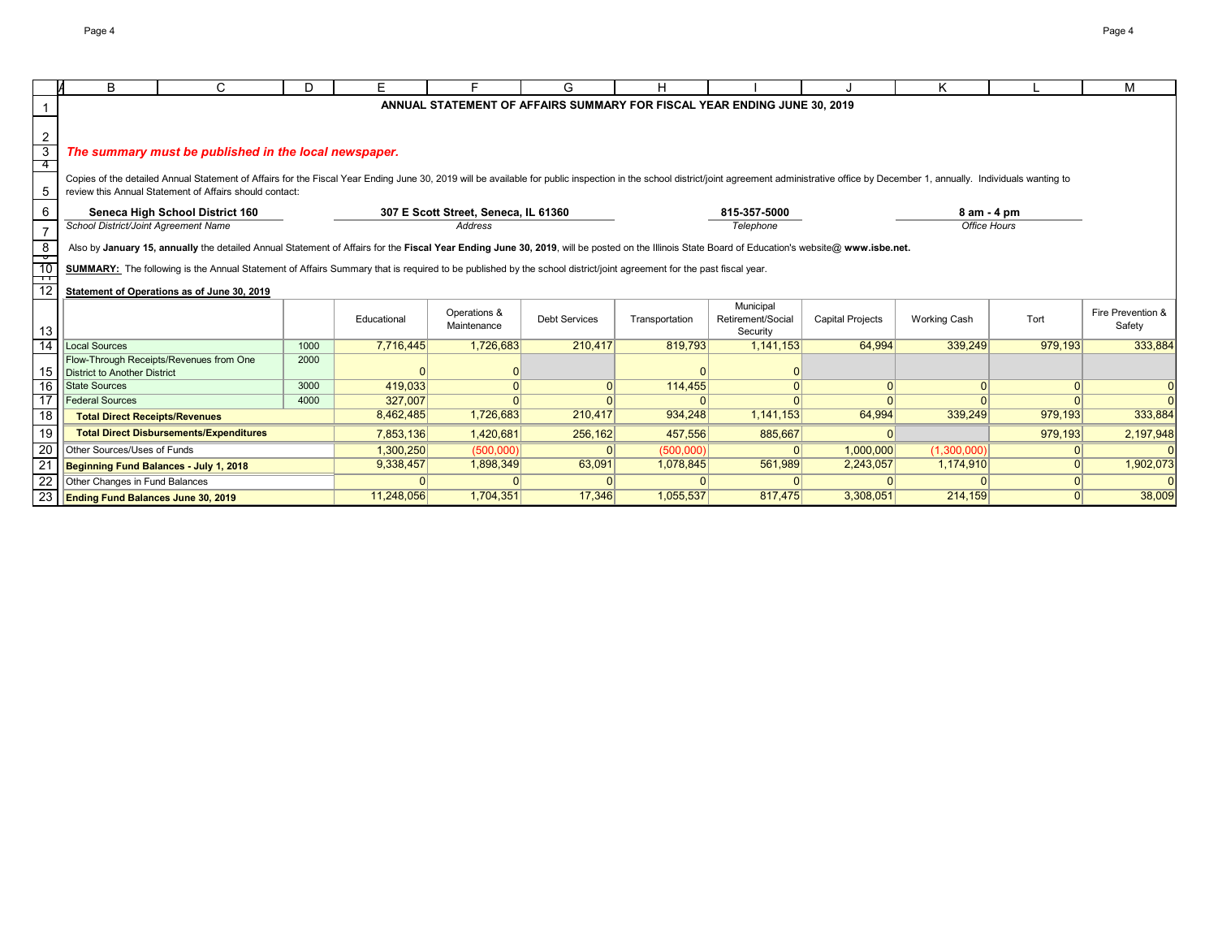|                 | В                                                                                                                                                                   | C                                                                                                                                                                                                                              | D    | Е           |                                      | G                    | н              |                                                                          |                         | Κ                   |                | M                 |
|-----------------|---------------------------------------------------------------------------------------------------------------------------------------------------------------------|--------------------------------------------------------------------------------------------------------------------------------------------------------------------------------------------------------------------------------|------|-------------|--------------------------------------|----------------------|----------------|--------------------------------------------------------------------------|-------------------------|---------------------|----------------|-------------------|
|                 |                                                                                                                                                                     |                                                                                                                                                                                                                                |      |             |                                      |                      |                | ANNUAL STATEMENT OF AFFAIRS SUMMARY FOR FISCAL YEAR ENDING JUNE 30, 2019 |                         |                     |                |                   |
|                 |                                                                                                                                                                     |                                                                                                                                                                                                                                |      |             |                                      |                      |                |                                                                          |                         |                     |                |                   |
| $\overline{2}$  |                                                                                                                                                                     |                                                                                                                                                                                                                                |      |             |                                      |                      |                |                                                                          |                         |                     |                |                   |
| $\overline{3}$  |                                                                                                                                                                     | The summary must be published in the local newspaper.                                                                                                                                                                          |      |             |                                      |                      |                |                                                                          |                         |                     |                |                   |
| -4              |                                                                                                                                                                     |                                                                                                                                                                                                                                |      |             |                                      |                      |                |                                                                          |                         |                     |                |                   |
|                 |                                                                                                                                                                     | Copies of the detailed Annual Statement of Affairs for the Fiscal Year Ending June 30, 2019 will be available for public inspection in the school district/joint agreement administrative office by December 1, annually. Indi |      |             |                                      |                      |                |                                                                          |                         |                     |                |                   |
| 5               |                                                                                                                                                                     | review this Annual Statement of Affairs should contact:                                                                                                                                                                        |      |             |                                      |                      |                |                                                                          |                         |                     |                |                   |
| 6               |                                                                                                                                                                     | Seneca High School District 160                                                                                                                                                                                                |      |             | 307 E Scott Street, Seneca, IL 61360 |                      |                | 815-357-5000                                                             |                         | 8 am - 4 pm         |                |                   |
| $\overline{7}$  | School District/Joint Agreement Name                                                                                                                                |                                                                                                                                                                                                                                |      |             | Address                              |                      |                | Telephone                                                                |                         | Office Hours        |                |                   |
| $\frac{8}{1}$   |                                                                                                                                                                     | Also by January 15, annually the detailed Annual Statement of Affairs for the Fiscal Year Ending June 30, 2019, will be posted on the Illinois State Board of Education's website@ www.isbe.net.                               |      |             |                                      |                      |                |                                                                          |                         |                     |                |                   |
| $-10$           | SUMMARY: The following is the Annual Statement of Affairs Summary that is required to be published by the school district/joint agreement for the past fiscal year. |                                                                                                                                                                                                                                |      |             |                                      |                      |                |                                                                          |                         |                     |                |                   |
| ┯               |                                                                                                                                                                     |                                                                                                                                                                                                                                |      |             |                                      |                      |                |                                                                          |                         |                     |                |                   |
| 12              |                                                                                                                                                                     | Statement of Operations as of June 30, 2019                                                                                                                                                                                    |      |             |                                      |                      |                |                                                                          |                         |                     |                |                   |
|                 |                                                                                                                                                                     |                                                                                                                                                                                                                                |      |             | Operations &                         |                      |                | Municipal                                                                |                         |                     |                | Fire Prevention & |
| 13              |                                                                                                                                                                     |                                                                                                                                                                                                                                |      | Educational | Maintenance                          | <b>Debt Services</b> | Transportation | Retirement/Social                                                        | <b>Capital Projects</b> | <b>Working Cash</b> | Tort           | Safety            |
| 14              | <b>Local Sources</b>                                                                                                                                                |                                                                                                                                                                                                                                | 1000 | 7,716,445   | 1,726,683                            | 210.417              | 819.793        | Security<br>1,141,153                                                    | 64,994                  | 339,249             | 979,193        | 333,884           |
|                 |                                                                                                                                                                     | Flow-Through Receipts/Revenues from One                                                                                                                                                                                        | 2000 |             |                                      |                      |                |                                                                          |                         |                     |                |                   |
| 15              | District to Another District                                                                                                                                        |                                                                                                                                                                                                                                |      |             |                                      |                      |                |                                                                          |                         |                     |                |                   |
| 16              | <b>State Sources</b>                                                                                                                                                |                                                                                                                                                                                                                                | 3000 | 419,033     | $\Omega$                             | $\Omega$             | 114,455        |                                                                          | 0                       | 0                   | 0              | $\overline{0}$    |
| $\overline{17}$ | <b>Federal Sources</b>                                                                                                                                              |                                                                                                                                                                                                                                | 4000 | 327,007     | $\Omega$                             | $\Omega$             |                |                                                                          | $\Omega$                |                     | $\Omega$       | $\Omega$          |
| 18              | <b>Total Direct Receipts/Revenues</b>                                                                                                                               |                                                                                                                                                                                                                                |      | 8,462,485   | 1,726,683                            | 210,417              | 934,248        | 1,141,153                                                                | 64,994                  | 339,249             | 979,193        | 333,884           |
| 19              |                                                                                                                                                                     | <b>Total Direct Disbursements/Expenditures</b>                                                                                                                                                                                 |      | 7,853,136   | 1,420,681                            | 256,162              | 457,556        | 885,667                                                                  | $\Omega$                |                     | 979,193        | 2,197,948         |
| $\overline{20}$ | <b>Other Sources/Uses of Funds</b>                                                                                                                                  |                                                                                                                                                                                                                                |      | 1,300,250   | (500,000)                            |                      | (500,000)      |                                                                          | 1,000,000               | (1,300,000)         | $\Omega$       |                   |
| 21              | Beginning Fund Balances - July 1, 2018                                                                                                                              |                                                                                                                                                                                                                                |      | 9,338,457   | 1,898,349                            | 63,091               | 1,078,845      | 561,989                                                                  | 2,243,057               | 1,174,910           | 0              | 1,902,073         |
| $\overline{22}$ | Other Changes in Fund Balances                                                                                                                                      |                                                                                                                                                                                                                                |      |             |                                      |                      |                |                                                                          |                         |                     | 0              |                   |
| $\overline{23}$ | <b>Ending Fund Balances June 30, 2019</b>                                                                                                                           |                                                                                                                                                                                                                                |      | 11,248,056  | 1,704,351                            | 17,346               | 1,055,537      | 817,475                                                                  | 3,308,051               | 214,159             | $\overline{0}$ | 38,009            |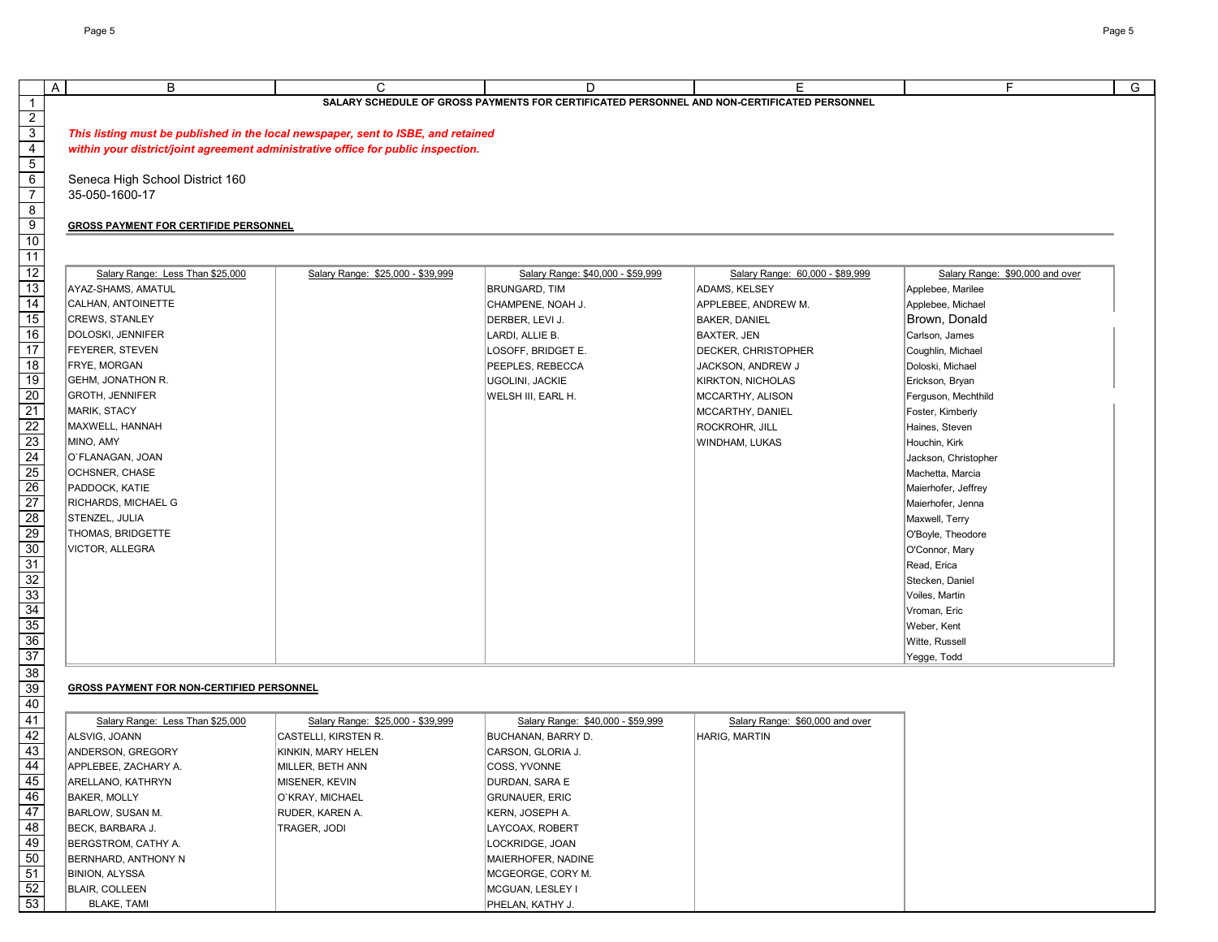| A | B                                                | $\mathsf{C}$                                                                      | D                                                                                           | Е                               | F.                              |
|---|--------------------------------------------------|-----------------------------------------------------------------------------------|---------------------------------------------------------------------------------------------|---------------------------------|---------------------------------|
|   |                                                  |                                                                                   | SALARY SCHEDULE OF GROSS PAYMENTS FOR CERTIFICATED PERSONNEL AND NON-CERTIFICATED PERSONNEL |                                 |                                 |
|   |                                                  |                                                                                   |                                                                                             |                                 |                                 |
|   |                                                  | This listing must be published in the local newspaper, sent to ISBE, and retained |                                                                                             |                                 |                                 |
|   |                                                  | within your district/joint agreement administrative office for public inspection. |                                                                                             |                                 |                                 |
|   |                                                  |                                                                                   |                                                                                             |                                 |                                 |
|   | Seneca High School District 160                  |                                                                                   |                                                                                             |                                 |                                 |
|   | 35-050-1600-17                                   |                                                                                   |                                                                                             |                                 |                                 |
|   |                                                  |                                                                                   |                                                                                             |                                 |                                 |
|   | <b>GROSS PAYMENT FOR CERTIFIDE PERSONNEL</b>     |                                                                                   |                                                                                             |                                 |                                 |
|   |                                                  |                                                                                   |                                                                                             |                                 |                                 |
|   |                                                  |                                                                                   |                                                                                             |                                 |                                 |
|   | Salary Range: Less Than \$25,000                 | Salary Range: \$25,000 - \$39,999                                                 | Salary Range: \$40,000 - \$59,999                                                           | Salary Range: 60,000 - \$89,999 | Salary Range: \$90,000 and over |
|   | AYAZ-SHAMS, AMATUL                               |                                                                                   | <b>BRUNGARD, TIM</b>                                                                        | ADAMS, KELSEY                   | Applebee, Marilee               |
|   | CALHAN, ANTOINETTE                               |                                                                                   | CHAMPENE, NOAH J.                                                                           | APPLEBEE, ANDREW M.             | Applebee, Michael               |
|   | <b>CREWS, STANLEY</b>                            |                                                                                   | DERBER, LEVI J.                                                                             | <b>BAKER, DANIEL</b>            | Brown, Donald                   |
|   | DOLOSKI, JENNIFER                                |                                                                                   | LARDI, ALLIE B.                                                                             | BAXTER, JEN                     | Carlson, James                  |
|   | <b>FEYERER, STEVEN</b>                           |                                                                                   | LOSOFF, BRIDGET E.                                                                          | <b>DECKER, CHRISTOPHER</b>      | Coughlin, Michael               |
|   | FRYE, MORGAN                                     |                                                                                   | PEEPLES, REBECCA                                                                            | JACKSON, ANDREW J               | Doloski, Michael                |
|   | <b>GEHM, JONATHON R.</b>                         |                                                                                   | UGOLINI, JACKIE                                                                             | <b>KIRKTON, NICHOLAS</b>        | Erickson, Bryan                 |
|   | <b>GROTH, JENNIFER</b>                           |                                                                                   | WELSH III, EARL H.                                                                          | MCCARTHY, ALISON                | Ferguson, Mechthild             |
|   | MARIK, STACY                                     |                                                                                   |                                                                                             | MCCARTHY, DANIEL                | Foster, Kimberly                |
|   | MAXWELL, HANNAH                                  |                                                                                   |                                                                                             | ROCKROHR, JILL                  | Haines, Steven                  |
|   | MINO, AMY                                        |                                                                                   |                                                                                             | WINDHAM, LUKAS                  | Houchin, Kirk                   |
|   | O`FLANAGAN, JOAN                                 |                                                                                   |                                                                                             |                                 | Jackson, Christopher            |
|   | OCHSNER, CHASE                                   |                                                                                   |                                                                                             |                                 | Machetta, Marcia                |
|   | PADDOCK, KATIE                                   |                                                                                   |                                                                                             |                                 | Maierhofer, Jeffrey             |
|   | RICHARDS, MICHAEL G                              |                                                                                   |                                                                                             |                                 | Maierhofer, Jenna               |
|   | STENZEL, JULIA                                   |                                                                                   |                                                                                             |                                 | Maxwell, Terry                  |
|   | <b>THOMAS, BRIDGETTE</b>                         |                                                                                   |                                                                                             |                                 | O'Boyle, Theodore               |
|   | VICTOR, ALLEGRA                                  |                                                                                   |                                                                                             |                                 | O'Connor, Mary                  |
|   |                                                  |                                                                                   |                                                                                             |                                 | Read, Erica                     |
|   |                                                  |                                                                                   |                                                                                             |                                 | Stecken, Daniel                 |
|   |                                                  |                                                                                   |                                                                                             |                                 | Voiles, Martin                  |
|   |                                                  |                                                                                   |                                                                                             |                                 | Vroman, Eric                    |
|   |                                                  |                                                                                   |                                                                                             |                                 | Weber, Kent                     |
|   |                                                  |                                                                                   |                                                                                             |                                 | Witte, Russell                  |
|   |                                                  |                                                                                   |                                                                                             |                                 | Yegge, Todd                     |
|   |                                                  |                                                                                   |                                                                                             |                                 |                                 |
|   |                                                  |                                                                                   |                                                                                             |                                 |                                 |
|   | <b>GROSS PAYMENT FOR NON-CERTIFIED PERSONNEL</b> |                                                                                   |                                                                                             |                                 |                                 |
|   |                                                  |                                                                                   |                                                                                             |                                 |                                 |
|   | Salary Range: Less Than \$25,000                 | Salary Range: \$25,000 - \$39,999                                                 | Salary Range: \$40,000 - \$59,999                                                           | Salary Range: \$60,000 and over |                                 |
|   | ALSVIG, JOANN                                    | CASTELLI, KIRSTEN R.                                                              | <b>BUCHANAN, BARRY D.</b>                                                                   | HARIG, MARTIN                   |                                 |
|   | ANDERSON, GREGORY                                | KINKIN, MARY HELEN                                                                | CARSON, GLORIA J.                                                                           |                                 |                                 |
|   | APPLEBEE, ZACHARY A.                             | MILLER, BETH ANN                                                                  | COSS, YVONNE                                                                                |                                 |                                 |
|   | ARELLANO, KATHRYN                                | MISENER, KEVIN                                                                    | DURDAN, SARA E                                                                              |                                 |                                 |
|   | <b>BAKER, MOLLY</b>                              | O'KRAY, MICHAEL                                                                   | <b>GRUNAUER, ERIC</b>                                                                       |                                 |                                 |
|   | <b>BARLOW, SUSAN M.</b>                          | RUDER, KAREN A.                                                                   | KERN, JOSEPH A.                                                                             |                                 |                                 |
|   | BECK, BARBARA J.                                 | TRAGER, JODI                                                                      | LAYCOAX, ROBERT                                                                             |                                 |                                 |
|   | <b>BERGSTROM, CATHY A.</b>                       |                                                                                   | LOCKRIDGE, JOAN                                                                             |                                 |                                 |

BERNHARD, ANTHONY N **MAIERHOFER, NADINE** BINION, ALYSSA **MCGEORGE, CORY M.** BLAIR, COLLEEN MESSEN MESSEN IN A COLLEGIE IN A COLLEGIE IN A COLLEGIE IN A COLLEGIE IN A COLLEGIE IN A COLLEGIE IN A COLLEGIE IN A COLLEGIE IN A COLLEGIE IN A COLLEGIE IN A COLLEGIE IN A COLLEGIE IN A COLLEGIE IN A COLLEG BLAKE, TAMI PHELAN, KATHY J.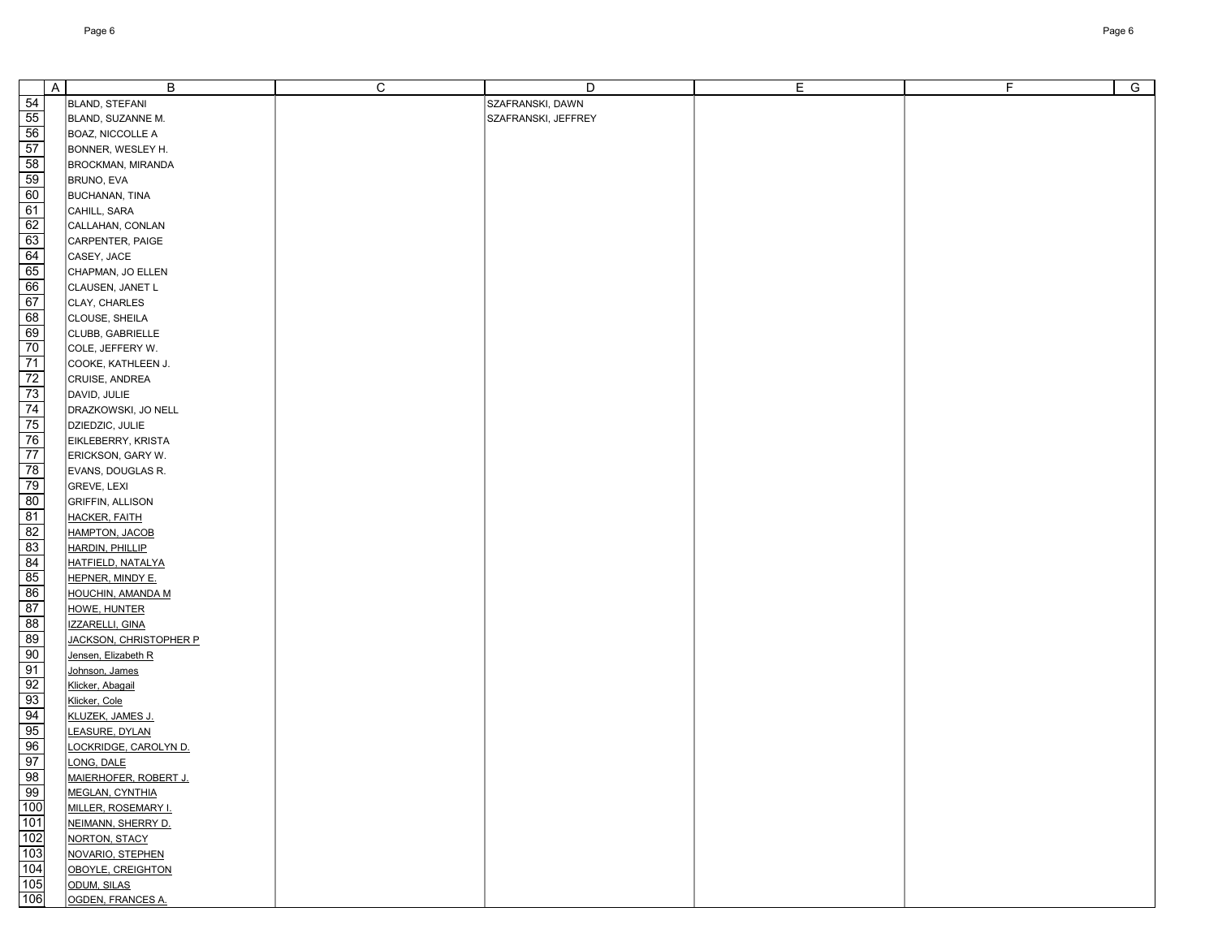|                                                                              | $\overline{A}$ | B                                             | $\mathsf C$ | D                   | $\mathsf E$ | F | $\overline{G}$ |
|------------------------------------------------------------------------------|----------------|-----------------------------------------------|-------------|---------------------|-------------|---|----------------|
|                                                                              |                | BLAND, STEFANI                                |             | SZAFRANSKI, DAWN    |             |   |                |
|                                                                              |                | BLAND, SUZANNE M.                             |             | SZAFRANSKI, JEFFREY |             |   |                |
|                                                                              |                | BOAZ, NICCOLLE A                              |             |                     |             |   |                |
|                                                                              |                | BONNER, WESLEY H.                             |             |                     |             |   |                |
|                                                                              |                | BROCKMAN, MIRANDA                             |             |                     |             |   |                |
|                                                                              |                | BRUNO, EVA                                    |             |                     |             |   |                |
|                                                                              |                | <b>BUCHANAN, TINA</b>                         |             |                     |             |   |                |
|                                                                              |                | CAHILL, SARA                                  |             |                     |             |   |                |
|                                                                              |                | CALLAHAN, CONLAN                              |             |                     |             |   |                |
|                                                                              |                | CARPENTER, PAIGE                              |             |                     |             |   |                |
|                                                                              |                | CASEY, JACE                                   |             |                     |             |   |                |
|                                                                              |                | CHAPMAN, JO ELLEN                             |             |                     |             |   |                |
|                                                                              |                | CLAUSEN, JANET L                              |             |                     |             |   |                |
|                                                                              |                | CLAY, CHARLES                                 |             |                     |             |   |                |
|                                                                              |                | CLOUSE, SHEILA                                |             |                     |             |   |                |
|                                                                              |                | CLUBB, GABRIELLE                              |             |                     |             |   |                |
|                                                                              |                | COLE, JEFFERY W.                              |             |                     |             |   |                |
|                                                                              |                | COOKE, KATHLEEN J.                            |             |                     |             |   |                |
|                                                                              |                | CRUISE, ANDREA                                |             |                     |             |   |                |
|                                                                              |                | DAVID, JULIE                                  |             |                     |             |   |                |
|                                                                              |                | DRAZKOWSKI, JO NELL                           |             |                     |             |   |                |
|                                                                              |                | DZIEDZIC, JULIE                               |             |                     |             |   |                |
|                                                                              |                | EIKLEBERRY, KRISTA                            |             |                     |             |   |                |
|                                                                              |                | ERICKSON, GARY W.                             |             |                     |             |   |                |
|                                                                              |                | EVANS, DOUGLAS R.                             |             |                     |             |   |                |
|                                                                              |                | <b>GREVE, LEXI</b>                            |             |                     |             |   |                |
|                                                                              |                | <b>GRIFFIN, ALLISON</b>                       |             |                     |             |   |                |
|                                                                              |                | <b>HACKER, FAITH</b><br><b>HAMPTON, JACOB</b> |             |                     |             |   |                |
|                                                                              |                | HARDIN, PHILLIP                               |             |                     |             |   |                |
|                                                                              |                | <b>HATFIELD, NATALYA</b>                      |             |                     |             |   |                |
| အျဖစ္က အျဖစ္ အတြက္ အျဖစ္ အျဖစ္ အျဖစ္ ေတြးလုပ္လည္း ေတြးေတြ အတြက္ အျဖစ္က အျဖစ္ |                | HEPNER, MINDY E.                              |             |                     |             |   |                |
|                                                                              |                | <b>HOUCHIN, AMANDA M</b>                      |             |                     |             |   |                |
|                                                                              |                | <b>HOWE, HUNTER</b>                           |             |                     |             |   |                |
|                                                                              |                | IZZARELLI, GINA                               |             |                     |             |   |                |
|                                                                              |                | JACKSON, CHRISTOPHER P                        |             |                     |             |   |                |
|                                                                              |                | Jensen, Elizabeth R                           |             |                     |             |   |                |
|                                                                              |                | Johnson, James                                |             |                     |             |   |                |
|                                                                              |                | Klicker, Abagail                              |             |                     |             |   |                |
|                                                                              |                | Klicker, Cole                                 |             |                     |             |   |                |
|                                                                              |                | KLUZEK, JAMES J.                              |             |                     |             |   |                |
|                                                                              |                | LEASURE, DYLAN                                |             |                     |             |   |                |
|                                                                              |                | LOCKRIDGE, CAROLYN D.                         |             |                     |             |   |                |
|                                                                              |                | LONG, DALE                                    |             |                     |             |   |                |
|                                                                              |                | <b>MAIERHOFER, ROBERT J.</b>                  |             |                     |             |   |                |
|                                                                              |                | <b>MEGLAN, CYNTHIA</b>                        |             |                     |             |   |                |
|                                                                              |                | <b>MILLER, ROSEMARY I.</b>                    |             |                     |             |   |                |
|                                                                              |                | NEIMANN, SHERRY D.                            |             |                     |             |   |                |
|                                                                              |                | NORTON, STACY                                 |             |                     |             |   |                |
|                                                                              |                | NOVARIO, STEPHEN                              |             |                     |             |   |                |
|                                                                              |                | OBOYLE, CREIGHTON                             |             |                     |             |   |                |
|                                                                              |                | ODUM, SILAS                                   |             |                     |             |   |                |
|                                                                              |                | OGDEN, FRANCES A.                             |             |                     |             |   |                |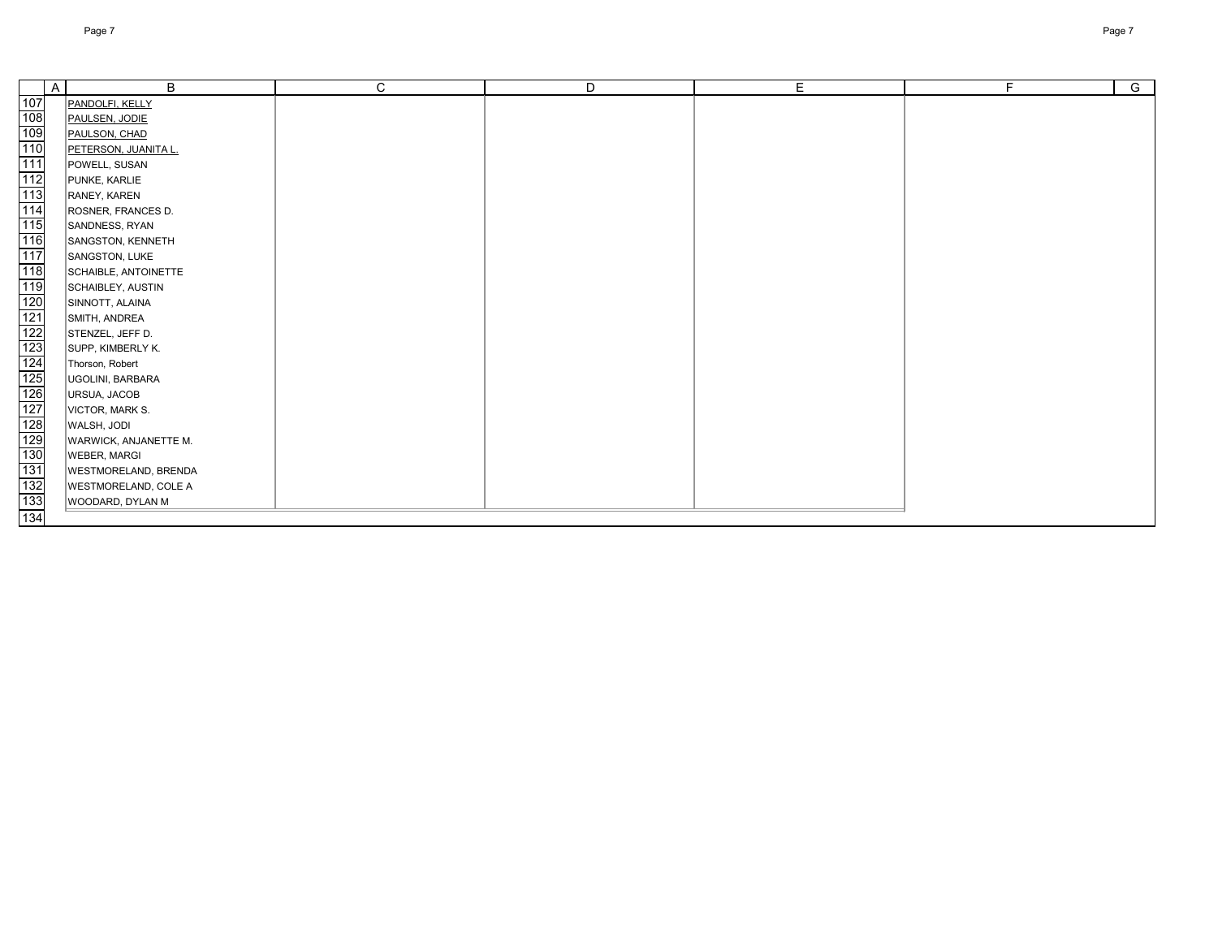|                                               | $\mathsf{A}$ | $\mathsf B$                  | $\mathsf{C}$ | D | E | F. | $\overline{G}$ |
|-----------------------------------------------|--------------|------------------------------|--------------|---|---|----|----------------|
| 107                                           |              | PANDOLFI, KELLY              |              |   |   |    |                |
|                                               |              | PAULSEN, JODIE               |              |   |   |    |                |
| $\frac{108}{109}$                             |              | PAULSON, CHAD                |              |   |   |    |                |
| 110                                           |              | PETERSON, JUANITA L.         |              |   |   |    |                |
| 111                                           |              | POWELL, SUSAN                |              |   |   |    |                |
| 112                                           |              | PUNKE, KARLIE                |              |   |   |    |                |
| 113                                           |              | RANEY, KAREN                 |              |   |   |    |                |
| 114                                           |              | ROSNER, FRANCES D.           |              |   |   |    |                |
| 115                                           |              | SANDNESS, RYAN               |              |   |   |    |                |
| $\frac{116}{117}$                             |              | SANGSTON, KENNETH            |              |   |   |    |                |
|                                               |              | SANGSTON, LUKE               |              |   |   |    |                |
| 118                                           |              | SCHAIBLE, ANTOINETTE         |              |   |   |    |                |
| 119                                           |              | SCHAIBLEY, AUSTIN            |              |   |   |    |                |
|                                               |              | SINNOTT, ALAINA              |              |   |   |    |                |
|                                               |              | SMITH, ANDREA                |              |   |   |    |                |
| 120<br>121<br>122<br>123<br>124<br>125<br>126 |              | STENZEL, JEFF D.             |              |   |   |    |                |
|                                               |              | SUPP, KIMBERLY K.            |              |   |   |    |                |
|                                               |              | Thorson, Robert              |              |   |   |    |                |
|                                               |              | UGOLINI, BARBARA             |              |   |   |    |                |
|                                               |              | URSUA, JACOB                 |              |   |   |    |                |
| $\frac{127}{128}$                             |              | VICTOR, MARK S.              |              |   |   |    |                |
|                                               |              | WALSH, JODI                  |              |   |   |    |                |
| 129                                           |              | <b>WARWICK, ANJANETTE M.</b> |              |   |   |    |                |
| 130                                           |              | <b>WEBER, MARGI</b>          |              |   |   |    |                |
| 131                                           |              | <b>WESTMORELAND, BRENDA</b>  |              |   |   |    |                |
| 132                                           |              | <b>WESTMORELAND, COLE A</b>  |              |   |   |    |                |
| 133                                           |              | WOODARD, DYLAN M             |              |   |   |    |                |
| 134                                           |              |                              |              |   |   |    |                |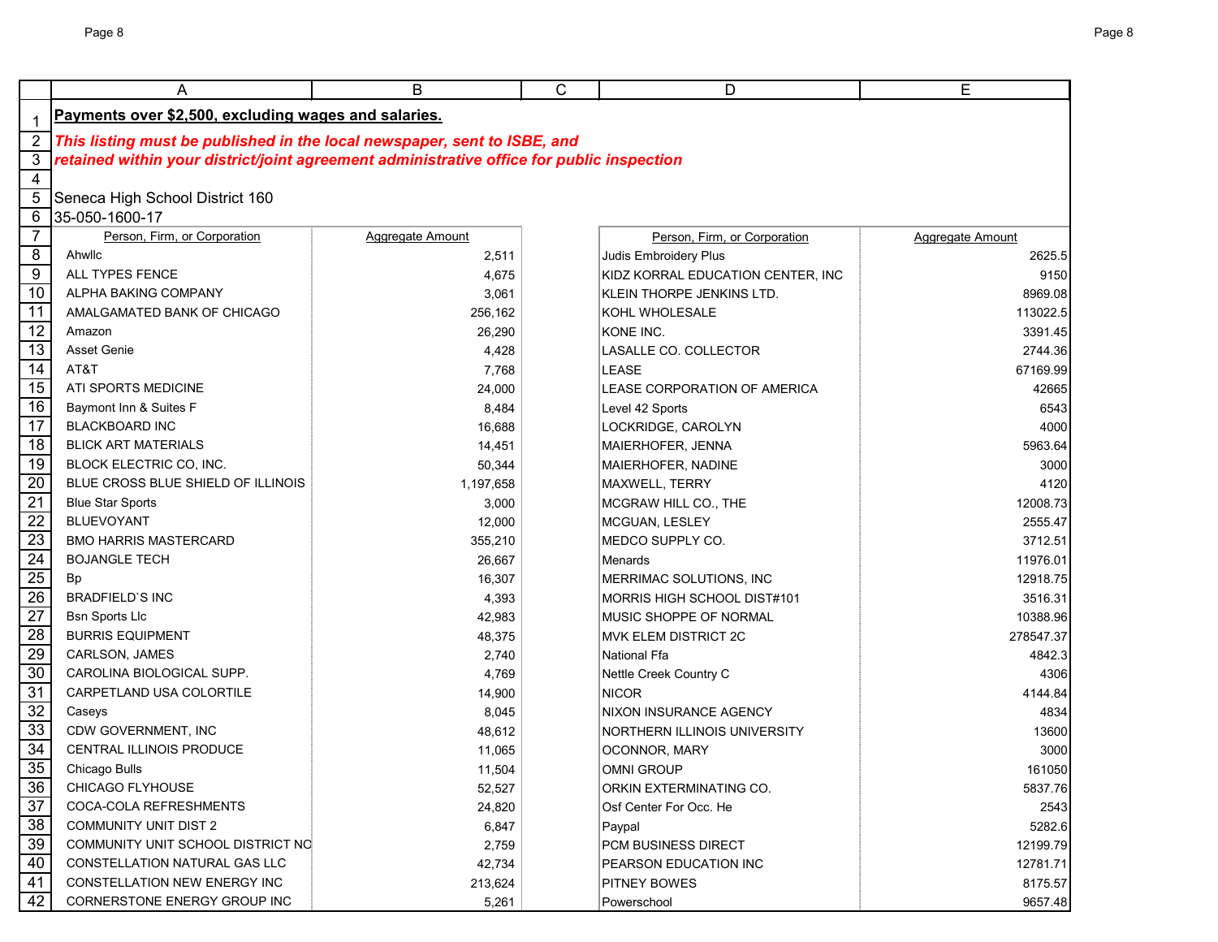|                 | A                                                                                         | B                | C | D                                 | E                |  |  |  |  |
|-----------------|-------------------------------------------------------------------------------------------|------------------|---|-----------------------------------|------------------|--|--|--|--|
|                 | Payments over \$2,500, excluding wages and salaries.                                      |                  |   |                                   |                  |  |  |  |  |
| $\overline{2}$  | This listing must be published in the local newspaper, sent to ISBE, and                  |                  |   |                                   |                  |  |  |  |  |
| $\mathbf{3}$    | retained within your district/joint agreement administrative office for public inspection |                  |   |                                   |                  |  |  |  |  |
| $\overline{4}$  |                                                                                           |                  |   |                                   |                  |  |  |  |  |
| 5               | Seneca High School District 160                                                           |                  |   |                                   |                  |  |  |  |  |
| 6               | 35-050-1600-17                                                                            |                  |   |                                   |                  |  |  |  |  |
| $\overline{7}$  | Person, Firm, or Corporation                                                              | Aggregate Amount |   | Person, Firm, or Corporation      | Aggregate Amount |  |  |  |  |
| 8               | Ahwllc                                                                                    | 2,511            |   | Judis Embroidery Plus             | 2625.5           |  |  |  |  |
| $\overline{9}$  | ALL TYPES FENCE                                                                           | 4,675            |   | KIDZ KORRAL EDUCATION CENTER, INC | 9150             |  |  |  |  |
| $\overline{10}$ | ALPHA BAKING COMPANY                                                                      | 3,061            |   | KLEIN THORPE JENKINS LTD.         | 8969.08          |  |  |  |  |
| 11              | AMALGAMATED BANK OF CHICAGO                                                               | 256,162          |   | KOHL WHOLESALE                    | 113022.5         |  |  |  |  |
| $\overline{12}$ | Amazon                                                                                    | 26,290           |   | KONE INC.                         | 3391.45          |  |  |  |  |
| 13              | Asset Genie                                                                               | 4,428            |   | LASALLE CO. COLLECTOR             | 2744.36          |  |  |  |  |
| 14              | AT&T                                                                                      | 7,768            |   | LEASE                             | 67169.99         |  |  |  |  |
| 15              | <b>ATI SPORTS MEDICINE</b>                                                                | 24,000           |   | LEASE CORPORATION OF AMERICA      | 42665            |  |  |  |  |
| 16              | Baymont Inn & Suites F                                                                    | 8,484            |   | Level 42 Sports                   | 6543             |  |  |  |  |
| 17              | <b>BLACKBOARD INC</b>                                                                     | 16,688           |   | LOCKRIDGE, CAROLYN                | 4000             |  |  |  |  |
| 18              | <b>BLICK ART MATERIALS</b>                                                                | 14,451           |   | MAIERHOFER, JENNA                 | 5963.64          |  |  |  |  |
| 19              | BLOCK ELECTRIC CO, INC.                                                                   | 50,344           |   | MAIERHOFER, NADINE                | 3000             |  |  |  |  |
| 20              | BLUE CROSS BLUE SHIELD OF ILLINOIS                                                        | 1,197,658        |   | MAXWELL, TERRY                    | 4120             |  |  |  |  |
| $\overline{21}$ | <b>Blue Star Sports</b>                                                                   | 3,000            |   | MCGRAW HILL CO., THE              | 12008.73         |  |  |  |  |
| $\overline{22}$ | <b>BLUEVOYANT</b>                                                                         | 12,000           |   | MCGUAN, LESLEY                    | 2555.47          |  |  |  |  |
| $\overline{23}$ | <b>BMO HARRIS MASTERCARD</b>                                                              | 355,210          |   | MEDCO SUPPLY CO.                  | 3712.51          |  |  |  |  |
| $\overline{24}$ | <b>BOJANGLE TECH</b>                                                                      | 26,667           |   | Menards                           | 11976.01         |  |  |  |  |
| $\overline{25}$ | Bp                                                                                        | 16,307           |   | MERRIMAC SOLUTIONS, INC           | 12918.75         |  |  |  |  |
| $\overline{26}$ | <b>BRADFIELD'S INC</b>                                                                    | 4,393            |   | MORRIS HIGH SCHOOL DIST#101       | 3516.31          |  |  |  |  |
| $\overline{27}$ | <b>Bsn Sports Llc</b>                                                                     | 42,983           |   | MUSIC SHOPPE OF NORMAL            | 10388.96         |  |  |  |  |
| $\overline{28}$ | <b>BURRIS EQUIPMENT</b>                                                                   | 48,375           |   | MVK ELEM DISTRICT 2C              | 278547.37        |  |  |  |  |
| 29              | CARLSON, JAMES                                                                            | 2,740            |   | <b>National Ffa</b>               | 4842.3           |  |  |  |  |
| 30              | CAROLINA BIOLOGICAL SUPP.                                                                 | 4,769            |   | Nettle Creek Country C            | 4306             |  |  |  |  |
| 31              | CARPETLAND USA COLORTILE                                                                  | 14,900           |   | <b>NICOR</b>                      | 4144.84          |  |  |  |  |
| 32              | Caseys                                                                                    | 8,045            |   | <b>NIXON INSURANCE AGENCY</b>     | 4834             |  |  |  |  |
| 33              | CDW GOVERNMENT, INC                                                                       | 48,612           |   | NORTHERN ILLINOIS UNIVERSITY      | 13600            |  |  |  |  |
| 34              | <b>CENTRAL ILLINOIS PRODUCE</b>                                                           | 11,065           |   | OCONNOR, MARY                     | 3000             |  |  |  |  |
| 35              | Chicago Bulls                                                                             | 11,504           |   | OMNI GROUP                        | 161050           |  |  |  |  |
| 36              | <b>CHICAGO FLYHOUSE</b>                                                                   | 52,527           |   | ORKIN EXTERMINATING CO.           | 5837.76          |  |  |  |  |
| 37              | COCA-COLA REFRESHMENTS                                                                    | 24,820           |   | Osf Center For Occ. He            | 2543             |  |  |  |  |
| $\overline{38}$ | <b>COMMUNITY UNIT DIST 2</b>                                                              | 6,847            |   | Paypal                            | 5282.6           |  |  |  |  |
| 39              | COMMUNITY UNIT SCHOOL DISTRICT NO                                                         | 2,759            |   | <b>PCM BUSINESS DIRECT</b>        | 12199.79         |  |  |  |  |
| 40              | CONSTELLATION NATURAL GAS LLC                                                             | 42,734           |   | PEARSON EDUCATION INC             | 12781.71         |  |  |  |  |
| 41              | CONSTELLATION NEW ENERGY INC                                                              | 213,624          |   | PITNEY BOWES                      | 8175.57          |  |  |  |  |
| 42              | CORNERSTONE ENERGY GROUP INC                                                              | 5,261            |   | Powerschool                       | 9657.48          |  |  |  |  |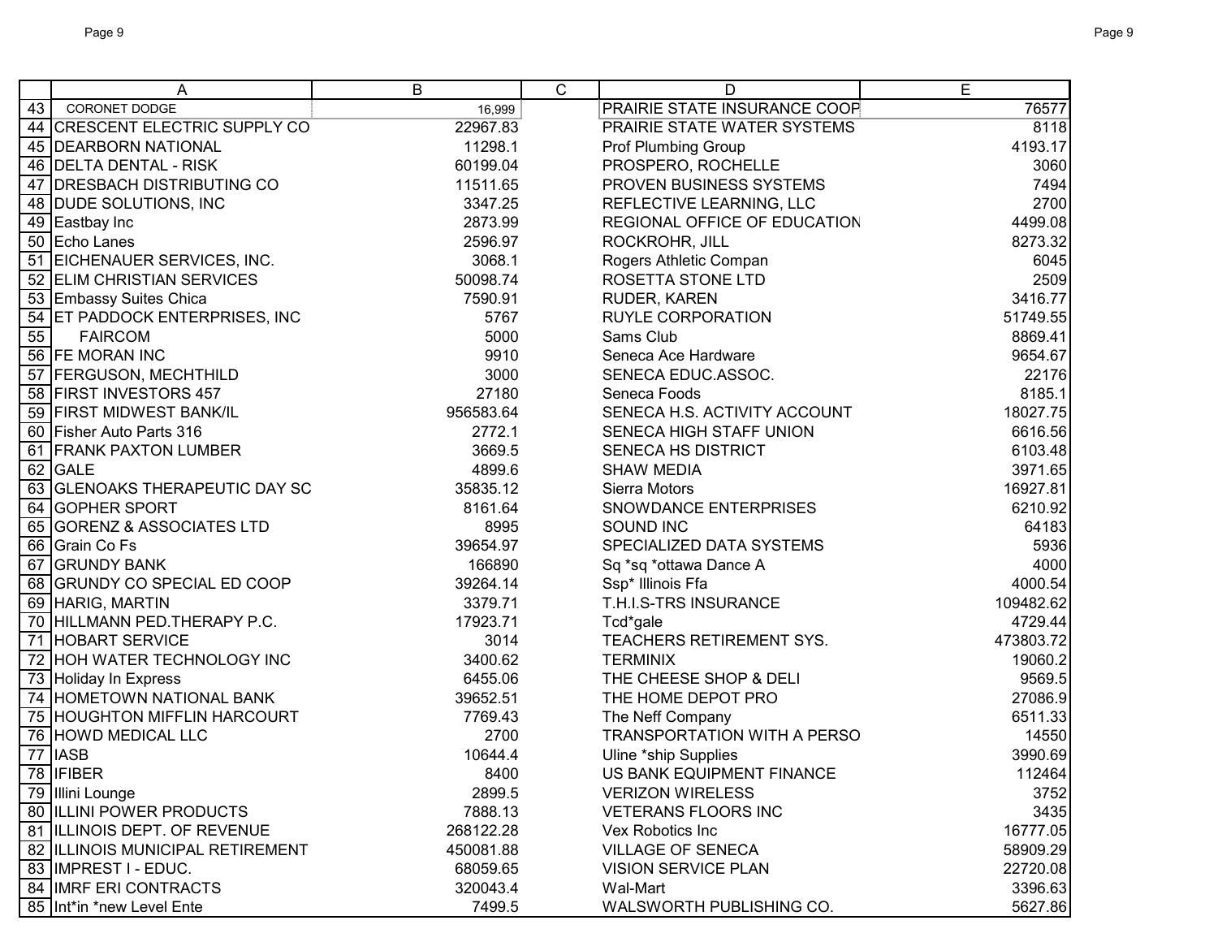|    | A                                | B         | C | D                                  | E         |
|----|----------------------------------|-----------|---|------------------------------------|-----------|
| 43 | CORONET DODGE                    | 16,999    |   | PRAIRIE STATE INSURANCE COOP       | 76577     |
|    | 44 CRESCENT ELECTRIC SUPPLY CO   | 22967.83  |   | PRAIRIE STATE WATER SYSTEMS        | 8118      |
|    | 45   DEARBORN NATIONAL           | 11298.1   |   | <b>Prof Plumbing Group</b>         | 4193.17   |
|    | 46 DELTA DENTAL - RISK           | 60199.04  |   | PROSPERO, ROCHELLE                 | 3060      |
|    | 47 DRESBACH DISTRIBUTING CO      | 11511.65  |   | PROVEN BUSINESS SYSTEMS            | 7494      |
|    | 48 DUDE SOLUTIONS, INC           | 3347.25   |   | REFLECTIVE LEARNING, LLC           | 2700      |
|    | 49 Eastbay Inc                   | 2873.99   |   | REGIONAL OFFICE OF EDUCATION       | 4499.08   |
|    | 50 Echo Lanes                    | 2596.97   |   | ROCKROHR, JILL                     | 8273.32   |
|    | 51 EICHENAUER SERVICES, INC.     | 3068.1    |   | Rogers Athletic Compan             | 6045      |
|    | 52 ELIM CHRISTIAN SERVICES       | 50098.74  |   | ROSETTA STONE LTD                  | 2509      |
|    | 53 Embassy Suites Chica          | 7590.91   |   | RUDER, KAREN                       | 3416.77   |
|    | 54 ET PADDOCK ENTERPRISES, INC   | 5767      |   | RUYLE CORPORATION                  | 51749.55  |
| 55 | <b>FAIRCOM</b>                   | 5000      |   | Sams Club                          | 8869.41   |
|    | 56 FE MORAN INC                  | 9910      |   | Seneca Ace Hardware                | 9654.67   |
|    | 57 FERGUSON, MECHTHILD           | 3000      |   | SENECA EDUC.ASSOC.                 | 22176     |
|    | 58 FIRST INVESTORS 457           | 27180     |   | Seneca Foods                       | 8185.1    |
| 59 | <b>FIRST MIDWEST BANK/IL</b>     | 956583.64 |   | SENECA H.S. ACTIVITY ACCOUNT       | 18027.75  |
|    | 60 Fisher Auto Parts 316         | 2772.1    |   | SENECA HIGH STAFF UNION            | 6616.56   |
|    | 61 FRANK PAXTON LUMBER           | 3669.5    |   | <b>SENECA HS DISTRICT</b>          | 6103.48   |
|    | 62 GALE                          | 4899.6    |   | <b>SHAW MEDIA</b>                  | 3971.65   |
|    | 63 GLENOAKS THERAPEUTIC DAY SC   | 35835.12  |   | Sierra Motors                      | 16927.81  |
|    | 64 GOPHER SPORT                  | 8161.64   |   | SNOWDANCE ENTERPRISES              | 6210.92   |
|    | 65 GORENZ & ASSOCIATES LTD       | 8995      |   | <b>SOUND INC</b>                   | 64183     |
|    | 66 Grain Co Fs                   | 39654.97  |   | SPECIALIZED DATA SYSTEMS           | 5936      |
|    | 67 GRUNDY BANK                   | 166890    |   | Sq *sq *ottawa Dance A             | 4000      |
|    | 68 GRUNDY CO SPECIAL ED COOP     | 39264.14  |   | Ssp* Illinois Ffa                  | 4000.54   |
|    | 69 HARIG, MARTIN                 | 3379.71   |   | T.H.I.S-TRS INSURANCE              | 109482.62 |
|    | 70 HILLMANN PED. THERAPY P.C.    | 17923.71  |   | Tcd*gale                           | 4729.44   |
|    | 71 HOBART SERVICE                | 3014      |   | TEACHERS RETIREMENT SYS.           | 473803.72 |
|    | 72 HOH WATER TECHNOLOGY INC      | 3400.62   |   | <b>TERMINIX</b>                    | 19060.2   |
|    | 73 Holiday In Express            | 6455.06   |   | THE CHEESE SHOP & DELI             | 9569.5    |
|    | 74 HOMETOWN NATIONAL BANK        | 39652.51  |   | THE HOME DEPOT PRO                 | 27086.9   |
|    | 75 HOUGHTON MIFFLIN HARCOURT     | 7769.43   |   | The Neff Company                   | 6511.33   |
|    | 76 HOWD MEDICAL LLC              | 2700      |   | <b>TRANSPORTATION WITH A PERSO</b> | 14550     |
| 77 | <b>IASB</b>                      | 10644.4   |   | Uline *ship Supplies               | 3990.69   |
|    | 78   IFIBER                      | 8400      |   | US BANK EQUIPMENT FINANCE          | 112464    |
|    | 79 Illini Lounge                 | 2899.5    |   | <b>VERIZON WIRELESS</b>            | 3752      |
|    | 80 ILLINI POWER PRODUCTS         | 7888.13   |   | <b>VETERANS FLOORS INC</b>         | 3435      |
|    | 81 ILLINOIS DEPT. OF REVENUE     | 268122.28 |   | Vex Robotics Inc                   | 16777.05  |
|    | 82 ILLINOIS MUNICIPAL RETIREMENT | 450081.88 |   | <b>VILLAGE OF SENECA</b>           | 58909.29  |
|    | 83 IMPREST I - EDUC.             | 68059.65  |   | <b>VISION SERVICE PLAN</b>         | 22720.08  |
|    | 84 IMRF ERI CONTRACTS            | 320043.4  |   | Wal-Mart                           | 3396.63   |
|    | 85 Int*in *new Level Ente        | 7499.5    |   | WALSWORTH PUBLISHING CO.           | 5627.86   |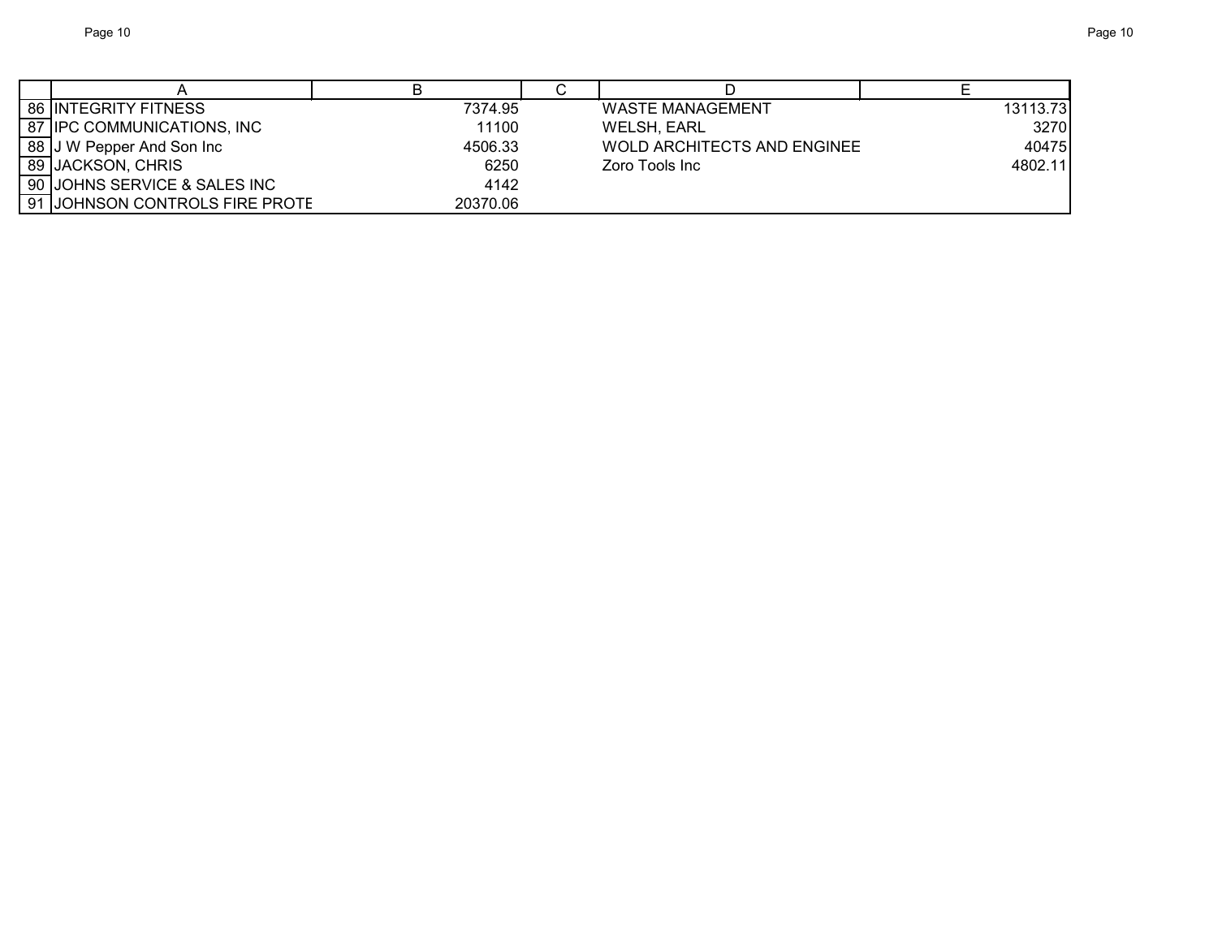| 86 INTEGRITY FITNESS           | 7374.95  | <b>WASTE MANAGEMENT</b>     | 13113.73 |
|--------------------------------|----------|-----------------------------|----------|
| 87 IPC COMMUNICATIONS, INC     | 11100    | WELSH, EARL                 | 3270     |
| 88 J W Pepper And Son Inc      | 4506.33  | WOLD ARCHITECTS AND ENGINEE | 40475    |
| 89 JACKSON, CHRIS              | 6250     | Zoro Tools Inc              | 4802.11  |
| 90 JOHNS SERVICE & SALES INC   | 4142     |                             |          |
| 91 JOHNSON CONTROLS FIRE PROTE | 20370.06 |                             |          |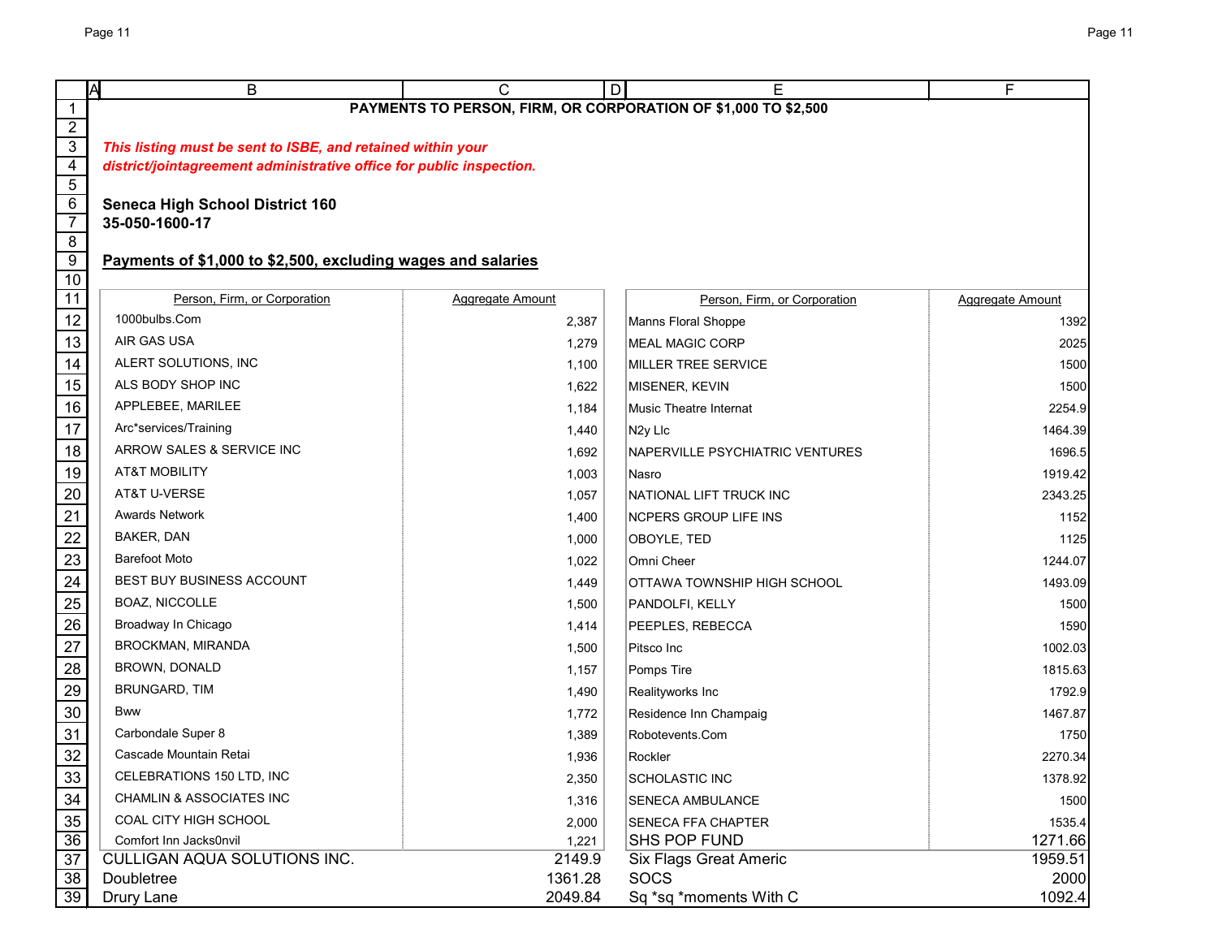|                                   | ΙA<br>B                                                              | C                       | D<br>Е                                                         | F                |
|-----------------------------------|----------------------------------------------------------------------|-------------------------|----------------------------------------------------------------|------------------|
| $\mathbf 1$                       |                                                                      |                         | PAYMENTS TO PERSON, FIRM, OR CORPORATION OF \$1,000 TO \$2,500 |                  |
| $\overline{2}$                    |                                                                      |                         |                                                                |                  |
| $\overline{3}$                    | This listing must be sent to ISBE, and retained within your          |                         |                                                                |                  |
| $\overline{4}$                    | district/jointagreement administrative office for public inspection. |                         |                                                                |                  |
| $\overline{5}$                    |                                                                      |                         |                                                                |                  |
| $6\overline{6}$<br>$\overline{7}$ | <b>Seneca High School District 160</b><br>35-050-1600-17             |                         |                                                                |                  |
| $\overline{8}$                    |                                                                      |                         |                                                                |                  |
| 9                                 | Payments of \$1,000 to \$2,500, excluding wages and salaries         |                         |                                                                |                  |
| 10                                |                                                                      |                         |                                                                |                  |
| 11                                | Person, Firm, or Corporation                                         | <b>Aggregate Amount</b> | Person, Firm, or Corporation                                   | Aggregate Amount |
| 12                                | 1000bulbs.Com                                                        | 2,387                   | Manns Floral Shoppe                                            | 1392             |
| 13                                | AIR GAS USA                                                          | 1,279                   | <b>MEAL MAGIC CORP</b>                                         | 2025             |
| 14                                | ALERT SOLUTIONS, INC                                                 | 1,100                   | MILLER TREE SERVICE                                            | 1500             |
| 15                                | ALS BODY SHOP INC                                                    | 1,622                   | MISENER, KEVIN                                                 | 1500             |
| 16                                | APPLEBEE, MARILEE                                                    | 1,184                   | <b>Music Theatre Internat</b>                                  | 2254.9           |
| 17                                | Arc*services/Training                                                | 1,440                   | N <sub>2y</sub> Llc                                            | 1464.39          |
| 18                                | ARROW SALES & SERVICE INC                                            | 1,692                   | NAPERVILLE PSYCHIATRIC VENTURES                                | 1696.5           |
| 19                                | <b>AT&amp;T MOBILITY</b>                                             | 1,003                   | Nasro                                                          | 1919.42          |
| 20                                | AT&T U-VERSE                                                         | 1,057                   | NATIONAL LIFT TRUCK INC                                        | 2343.25          |
| 21                                | <b>Awards Network</b>                                                | 1,400                   | <b>NCPERS GROUP LIFE INS</b>                                   | 1152             |
| 22                                | BAKER, DAN                                                           | 1,000                   | OBOYLE, TED                                                    | 1125             |
| 23                                | <b>Barefoot Moto</b>                                                 | 1,022                   | Omni Cheer                                                     | 1244.07          |
| 24                                | BEST BUY BUSINESS ACCOUNT                                            | 1,449                   | OTTAWA TOWNSHIP HIGH SCHOOL                                    | 1493.09          |
| 25                                | BOAZ, NICCOLLE                                                       | 1,500                   | PANDOLFI, KELLY                                                | 1500             |
| 26                                | Broadway In Chicago                                                  | 1,414                   | PEEPLES, REBECCA                                               | 1590             |
| 27                                | BROCKMAN, MIRANDA                                                    | 1,500                   | Pitsco Inc                                                     | 1002.03          |
| 28                                | BROWN, DONALD                                                        | 1,157                   | Pomps Tire                                                     | 1815.63          |
| 29                                | BRUNGARD, TIM                                                        | 1,490                   | Realityworks Inc                                               | 1792.9           |
| $30\,$                            | <b>Bww</b>                                                           | 1,772                   | Residence Inn Champaig                                         | 1467.87          |
| 31                                | Carbondale Super 8                                                   | 1,389                   | Robotevents.Com                                                | 1750             |
| 32                                | Cascade Mountain Retai                                               | 1,936                   | Rockler                                                        | 2270.34          |
| 33                                | CELEBRATIONS 150 LTD, INC                                            | 2,350                   | SCHOLASTIC INC                                                 | 1378.92          |
| 34                                | <b>CHAMLIN &amp; ASSOCIATES INC</b>                                  | 1,316                   | <b>SENECA AMBULANCE</b>                                        | 1500             |
|                                   | COAL CITY HIGH SCHOOL                                                | 2,000                   | SENECA FFA CHAPTER                                             | 1535.4           |
| $\frac{35}{36}$                   | Comfort Inn Jacks0nvil                                               | 1,221                   | <b>SHS POP FUND</b>                                            | 1271.66          |
| $\overline{37}$                   | CULLIGAN AQUA SOLUTIONS INC.                                         | 2149.9                  | <b>Six Flags Great Americ</b>                                  | 1959.51          |
| 38                                | Doubletree                                                           | 1361.28                 | <b>SOCS</b>                                                    | 2000             |
| 39                                | Drury Lane                                                           | 2049.84                 | Sq *sq *moments With C                                         | 1092.4           |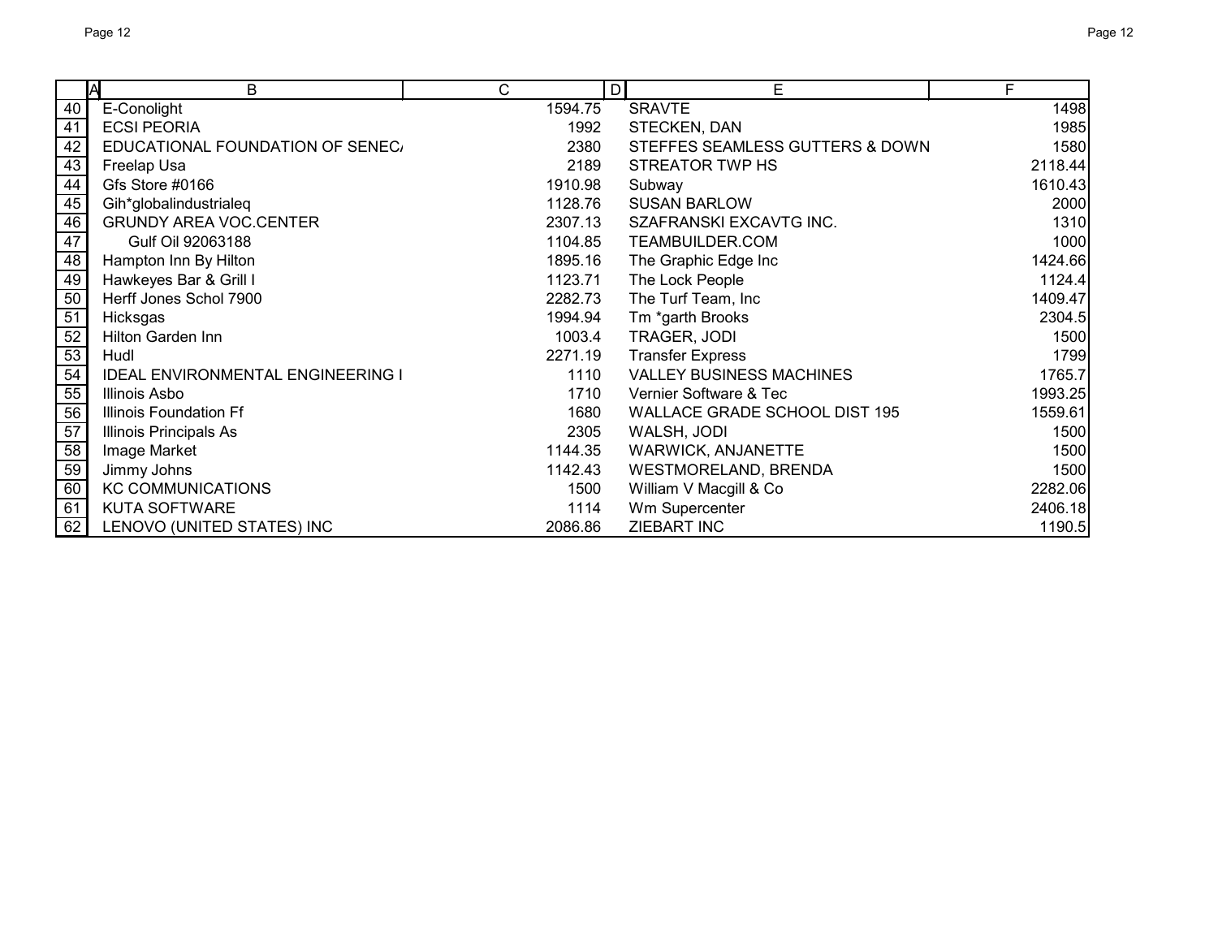|    | A<br>B                                   | C       | E<br>D                          | F       |
|----|------------------------------------------|---------|---------------------------------|---------|
| 40 | E-Conolight                              | 1594.75 | <b>SRAVTE</b>                   | 1498    |
| 41 | <b>ECSI PEORIA</b>                       | 1992    | STECKEN, DAN                    | 1985    |
| 42 | EDUCATIONAL FOUNDATION OF SENEC.         | 2380    | STEFFES SEAMLESS GUTTERS & DOWN | 1580    |
| 43 | Freelap Usa                              | 2189    | <b>STREATOR TWP HS</b>          | 2118.44 |
| 44 | Gfs Store #0166                          | 1910.98 | Subway                          | 1610.43 |
| 45 | Gih*globalindustrialeq                   | 1128.76 | <b>SUSAN BARLOW</b>             | 2000    |
| 46 | <b>GRUNDY AREA VOC.CENTER</b>            | 2307.13 | SZAFRANSKI EXCAVTG INC.         | 1310    |
| 47 | Gulf Oil 92063188                        | 1104.85 | TEAMBUILDER.COM                 | 1000    |
| 48 | Hampton Inn By Hilton                    | 1895.16 | The Graphic Edge Inc            | 1424.66 |
| 49 | Hawkeyes Bar & Grill I                   | 1123.71 | The Lock People                 | 1124.4  |
| 50 | Herff Jones Schol 7900                   | 2282.73 | The Turf Team, Inc              | 1409.47 |
| 51 | Hicksgas                                 | 1994.94 | Tm *garth Brooks                | 2304.5  |
| 52 | Hilton Garden Inn                        | 1003.4  | TRAGER, JODI                    | 1500    |
| 53 | Hudl                                     | 2271.19 | <b>Transfer Express</b>         | 1799    |
| 54 | <b>IDEAL ENVIRONMENTAL ENGINEERING I</b> | 1110    | <b>VALLEY BUSINESS MACHINES</b> | 1765.7  |
| 55 | Illinois Asbo                            | 1710    | Vernier Software & Tec          | 1993.25 |
| 56 | <b>Illinois Foundation Ff</b>            | 1680    | WALLACE GRADE SCHOOL DIST 195   | 1559.61 |
| 57 | Illinois Principals As                   | 2305    | WALSH, JODI                     | 1500    |
| 58 | Image Market                             | 1144.35 | WARWICK, ANJANETTE              | 1500    |
| 59 | Jimmy Johns                              | 1142.43 | WESTMORELAND, BRENDA            | 1500    |
| 60 | <b>KC COMMUNICATIONS</b>                 | 1500    | William V Macgill & Co          | 2282.06 |
| 61 | <b>KUTA SOFTWARE</b>                     | 1114    | Wm Supercenter                  | 2406.18 |
| 62 | LENOVO (UNITED STATES) INC               | 2086.86 | <b>ZIEBART INC</b>              | 1190.5  |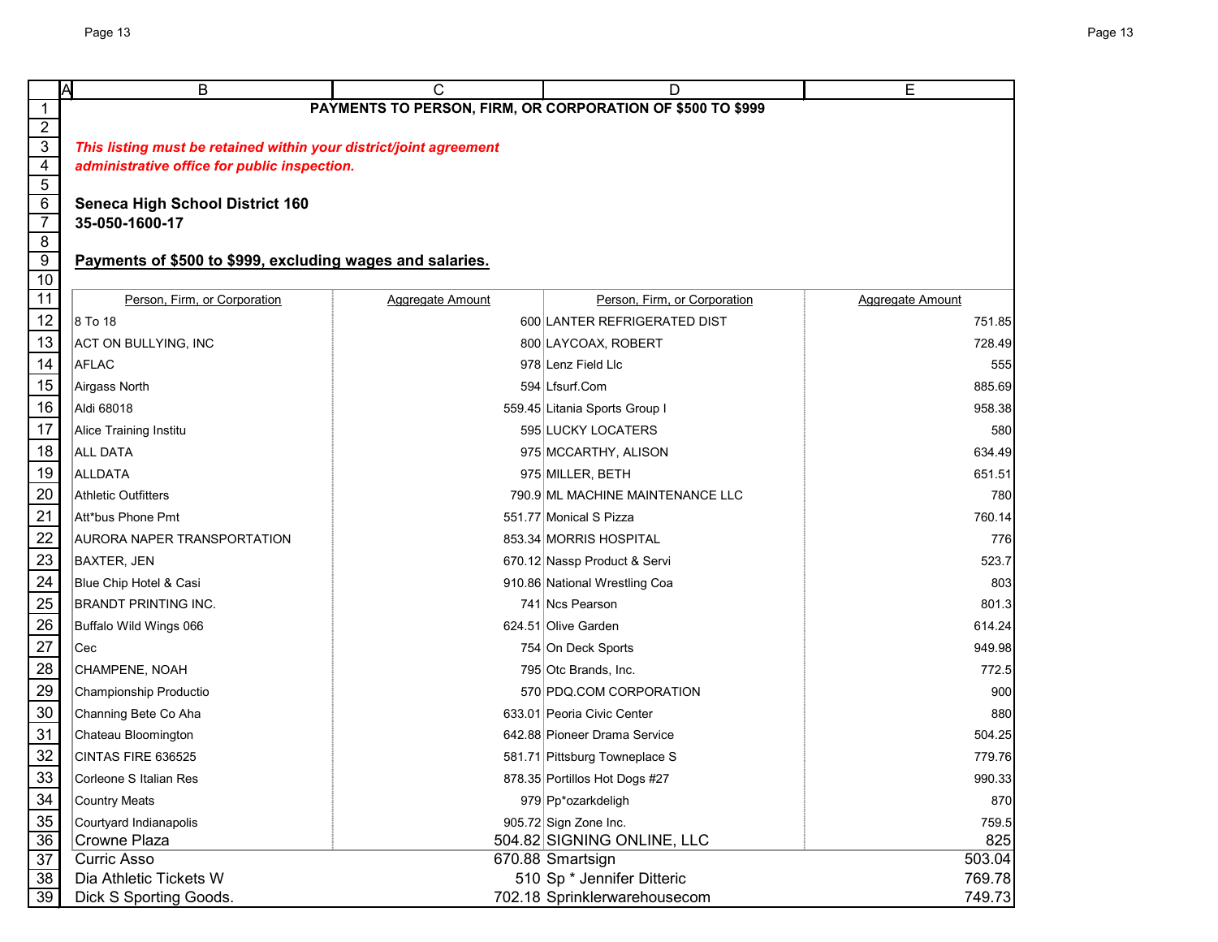|                     | Α<br>В                                                             | С                                                         | D                                                          | Е                |  |  |  |  |
|---------------------|--------------------------------------------------------------------|-----------------------------------------------------------|------------------------------------------------------------|------------------|--|--|--|--|
|                     |                                                                    |                                                           | PAYMENTS TO PERSON, FIRM, OR CORPORATION OF \$500 TO \$999 |                  |  |  |  |  |
| $\overline{2}$      |                                                                    |                                                           |                                                            |                  |  |  |  |  |
| $\overline{3}$      | This listing must be retained within your district/joint agreement |                                                           |                                                            |                  |  |  |  |  |
| $\overline{4}$      | administrative office for public inspection.                       |                                                           |                                                            |                  |  |  |  |  |
| $\overline{5}$<br>6 | <b>Seneca High School District 160</b><br>35-050-1600-17           |                                                           |                                                            |                  |  |  |  |  |
| $\overline{7}$      |                                                                    |                                                           |                                                            |                  |  |  |  |  |
| $\overline{8}$      |                                                                    |                                                           |                                                            |                  |  |  |  |  |
| $\overline{9}$      |                                                                    | Payments of \$500 to \$999, excluding wages and salaries. |                                                            |                  |  |  |  |  |
| 10                  |                                                                    |                                                           |                                                            |                  |  |  |  |  |
| 11                  | Person, Firm, or Corporation                                       | Aggregate Amount                                          | Person, Firm, or Corporation                               | Aggregate Amount |  |  |  |  |
| 12                  | 8 To 18                                                            |                                                           | 600 LANTER REFRIGERATED DIST                               | 751.85           |  |  |  |  |
| 13                  | ACT ON BULLYING, INC                                               |                                                           | 800 LAYCOAX, ROBERT                                        | 728.49           |  |  |  |  |
| 14                  | <b>AFLAC</b>                                                       |                                                           | 978 Lenz Field Llc                                         | 555              |  |  |  |  |
| 15                  | Airgass North                                                      |                                                           | 594 Lfsurf.Com                                             | 885.69           |  |  |  |  |
| 16                  | Aldi 68018                                                         |                                                           | 559.45 Litania Sports Group I                              | 958.38           |  |  |  |  |
| 17                  | <b>Alice Training Institu</b>                                      |                                                           | 595 LUCKY LOCATERS                                         | 580              |  |  |  |  |
| 18                  | <b>ALL DATA</b>                                                    |                                                           | 975 MCCARTHY, ALISON                                       | 634.49           |  |  |  |  |
| 19                  | <b>ALLDATA</b>                                                     |                                                           | 975 MILLER, BETH                                           | 651.51           |  |  |  |  |
| 20                  | <b>Athletic Outfitters</b>                                         |                                                           | 790.9 ML MACHINE MAINTENANCE LLC                           | 780              |  |  |  |  |
| 21                  | Att*bus Phone Pmt                                                  |                                                           | 551.77 Monical S Pizza                                     | 760.14           |  |  |  |  |
| 22                  | AURORA NAPER TRANSPORTATION                                        |                                                           | 853.34 MORRIS HOSPITAL                                     | 776              |  |  |  |  |
| 23                  | <b>BAXTER, JEN</b>                                                 |                                                           | 670.12 Nassp Product & Servi                               | 523.7            |  |  |  |  |
| $\frac{24}{ }$      | Blue Chip Hotel & Casi                                             |                                                           | 910.86 National Wrestling Coa                              | 803              |  |  |  |  |
| 25                  | <b>BRANDT PRINTING INC.</b>                                        |                                                           | 741 Ncs Pearson                                            | 801.3            |  |  |  |  |
| 26                  | Buffalo Wild Wings 066                                             |                                                           | 624.51 Olive Garden                                        | 614.24           |  |  |  |  |
| 27                  | Cec                                                                |                                                           | 754 On Deck Sports                                         | 949.98           |  |  |  |  |
| 28                  | CHAMPENE, NOAH                                                     |                                                           | 795 Otc Brands, Inc.                                       | 772.5            |  |  |  |  |
| 29                  | Championship Productio                                             |                                                           | 570 PDQ.COM CORPORATION                                    | 900              |  |  |  |  |
| $30\,$              | Channing Bete Co Aha                                               |                                                           | 633.01 Peoria Civic Center                                 | 880              |  |  |  |  |
| 31                  | Chateau Bloomington                                                |                                                           | 642.88 Pioneer Drama Service                               | 504.25           |  |  |  |  |
| 32                  | CINTAS FIRE 636525                                                 |                                                           | 581.71 Pittsburg Towneplace S                              | 779.76           |  |  |  |  |
| 33                  | Corleone S Italian Res                                             |                                                           | 878.35 Portillos Hot Dogs #27                              | 990.33           |  |  |  |  |
| 34                  | <b>Country Meats</b>                                               |                                                           | 979 Pp*ozarkdeligh                                         | 870              |  |  |  |  |
| $\frac{35}{36}$     | Courtyard Indianapolis                                             |                                                           | 905.72 Sign Zone Inc.                                      | 759.5            |  |  |  |  |
|                     | Crowne Plaza                                                       |                                                           | 504.82 SIGNING ONLINE, LLC                                 | 825              |  |  |  |  |
| 37                  | <b>Curric Asso</b>                                                 |                                                           | 670.88 Smartsign                                           | 503.04           |  |  |  |  |
| 38                  | Dia Athletic Tickets W                                             |                                                           | 510 Sp * Jennifer Ditteric                                 | 769.78           |  |  |  |  |
| 39                  | Dick S Sporting Goods.                                             |                                                           | 702.18 Sprinklerwarehousecom                               | 749.73           |  |  |  |  |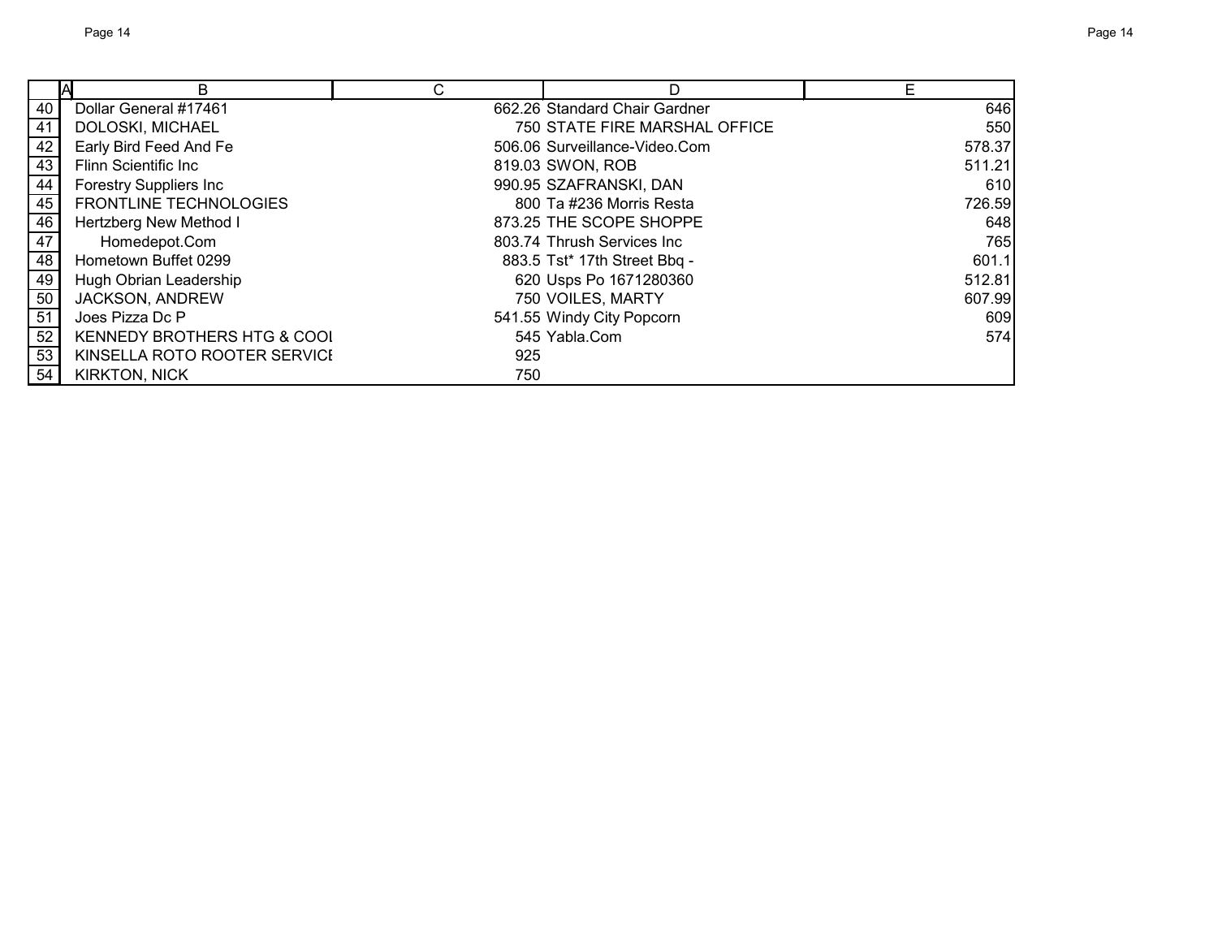|                 | B                             | C   | D                             | E      |
|-----------------|-------------------------------|-----|-------------------------------|--------|
| 40              | Dollar General #17461         |     | 662.26 Standard Chair Gardner | 646    |
| 41              | DOLOSKI, MICHAEL              |     | 750 STATE FIRE MARSHAL OFFICE | 550    |
| 42              | Early Bird Feed And Fe        |     | 506.06 Surveillance-Video.Com | 578.37 |
| 43              | <b>Flinn Scientific Inc</b>   |     | 819.03 SWON, ROB              | 511.21 |
| 44              | <b>Forestry Suppliers Inc</b> |     | 990.95 SZAFRANSKI, DAN        | 610    |
| 45              | <b>FRONTLINE TECHNOLOGIES</b> |     | 800 Ta #236 Morris Resta      | 726.59 |
| 46              | Hertzberg New Method I        |     | 873.25 THE SCOPE SHOPPE       | 648    |
| 47              | Homedepot.Com                 |     | 803.74 Thrush Services Inc    | 765    |
| 48              | Hometown Buffet 0299          |     | 883.5 Tst* 17th Street Bbq -  | 601.1  |
| 49              | Hugh Obrian Leadership        |     | 620 Usps Po 1671280360        | 512.81 |
| 50              | JACKSON, ANDREW               |     | 750 VOILES, MARTY             | 607.99 |
| $\overline{51}$ | Joes Pizza Dc P               |     | 541.55 Windy City Popcorn     | 609    |
| 52              | KENNEDY BROTHERS HTG & COOL   |     | 545 Yabla.Com                 | 574    |
| 53              | KINSELLA ROTO ROOTER SERVICI  | 925 |                               |        |
| 54              | <b>KIRKTON, NICK</b>          | 750 |                               |        |